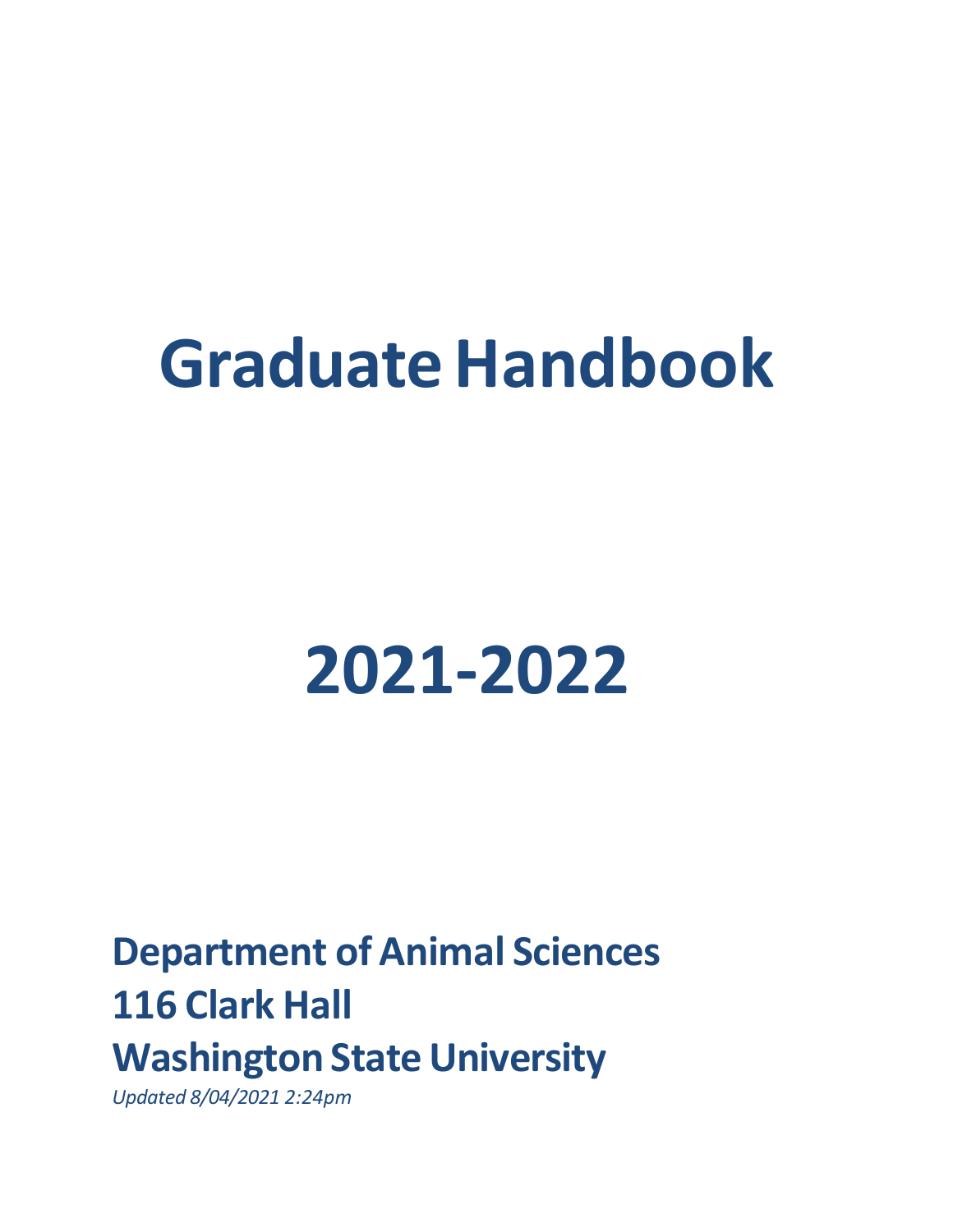# **Graduate Handbook**

# **2021‐2022**

**Department of Animal Sciences 116 Clark Hall Washington State University** 

*Updated 8/04/2021 2:24pm*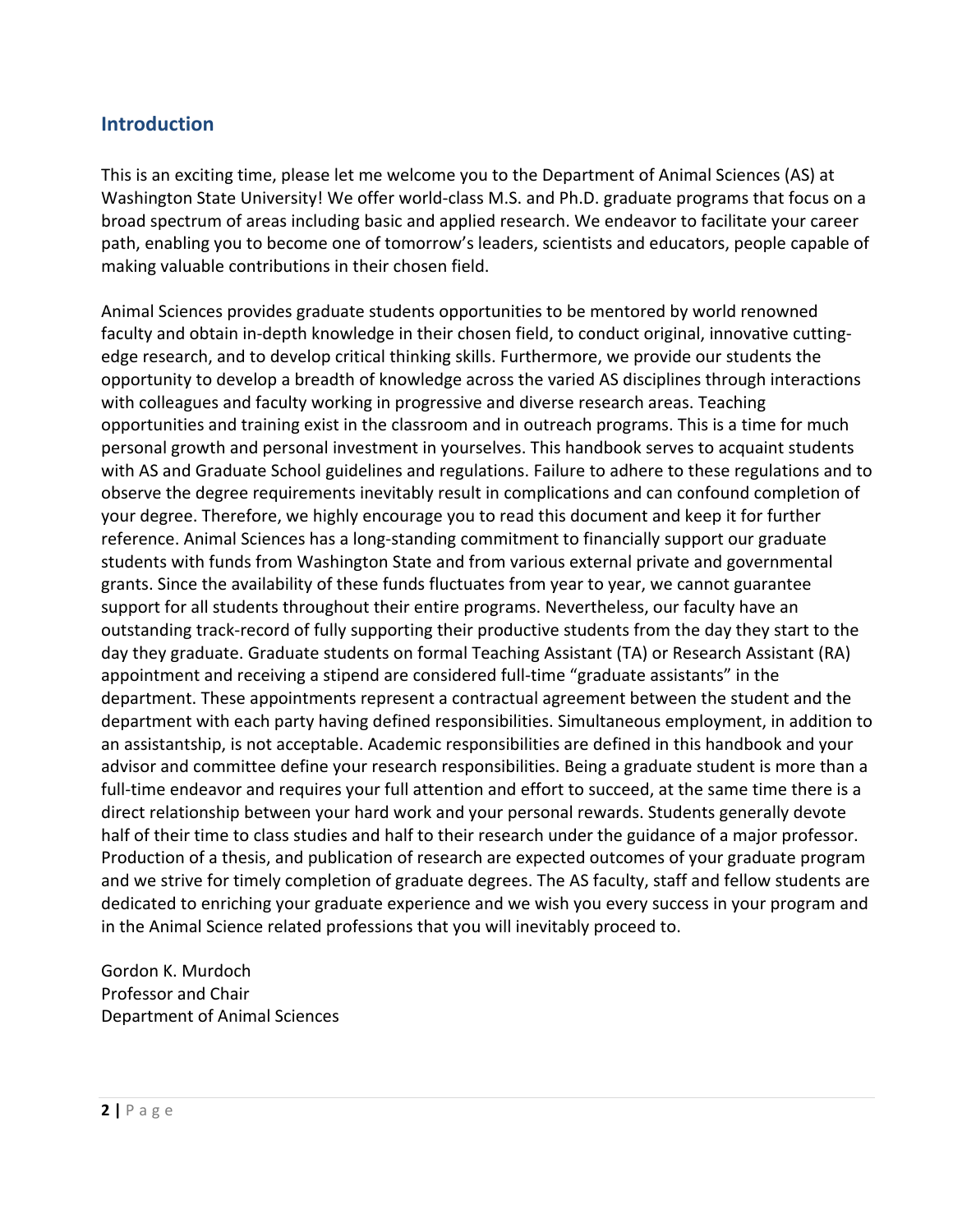# **Introduction**

This is an exciting time, please let me welcome you to the Department of Animal Sciences (AS) at Washington State University! We offer world-class M.S. and Ph.D. graduate programs that focus on a broad spectrum of areas including basic and applied research. We endeavor to facilitate your career path, enabling you to become one of tomorrow's leaders, scientists and educators, people capable of making valuable contributions in their chosen field.

Animal Sciences provides graduate students opportunities to be mentored by world renowned faculty and obtain in‐depth knowledge in their chosen field, to conduct original, innovative cutting‐ edge research, and to develop critical thinking skills. Furthermore, we provide our students the opportunity to develop a breadth of knowledge across the varied AS disciplines through interactions with colleagues and faculty working in progressive and diverse research areas. Teaching opportunities and training exist in the classroom and in outreach programs. This is a time for much personal growth and personal investment in yourselves. This handbook serves to acquaint students with AS and Graduate School guidelines and regulations. Failure to adhere to these regulations and to observe the degree requirements inevitably result in complications and can confound completion of your degree. Therefore, we highly encourage you to read this document and keep it for further reference. Animal Sciences has a long‐standing commitment to financially support our graduate students with funds from Washington State and from various external private and governmental grants. Since the availability of these funds fluctuates from year to year, we cannot guarantee support for all students throughout their entire programs. Nevertheless, our faculty have an outstanding track‐record of fully supporting their productive students from the day they start to the day they graduate. Graduate students on formal Teaching Assistant (TA) or Research Assistant (RA) appointment and receiving a stipend are considered full-time "graduate assistants" in the department. These appointments represent a contractual agreement between the student and the department with each party having defined responsibilities. Simultaneous employment, in addition to an assistantship, is not acceptable. Academic responsibilities are defined in this handbook and your advisor and committee define your research responsibilities. Being a graduate student is more than a full-time endeavor and requires your full attention and effort to succeed, at the same time there is a direct relationship between your hard work and your personal rewards. Students generally devote half of their time to class studies and half to their research under the guidance of a major professor. Production of a thesis, and publication of research are expected outcomes of your graduate program and we strive for timely completion of graduate degrees. The AS faculty, staff and fellow students are dedicated to enriching your graduate experience and we wish you every success in your program and in the Animal Science related professions that you will inevitably proceed to.

Gordon K. Murdoch Professor and Chair Department of Animal Sciences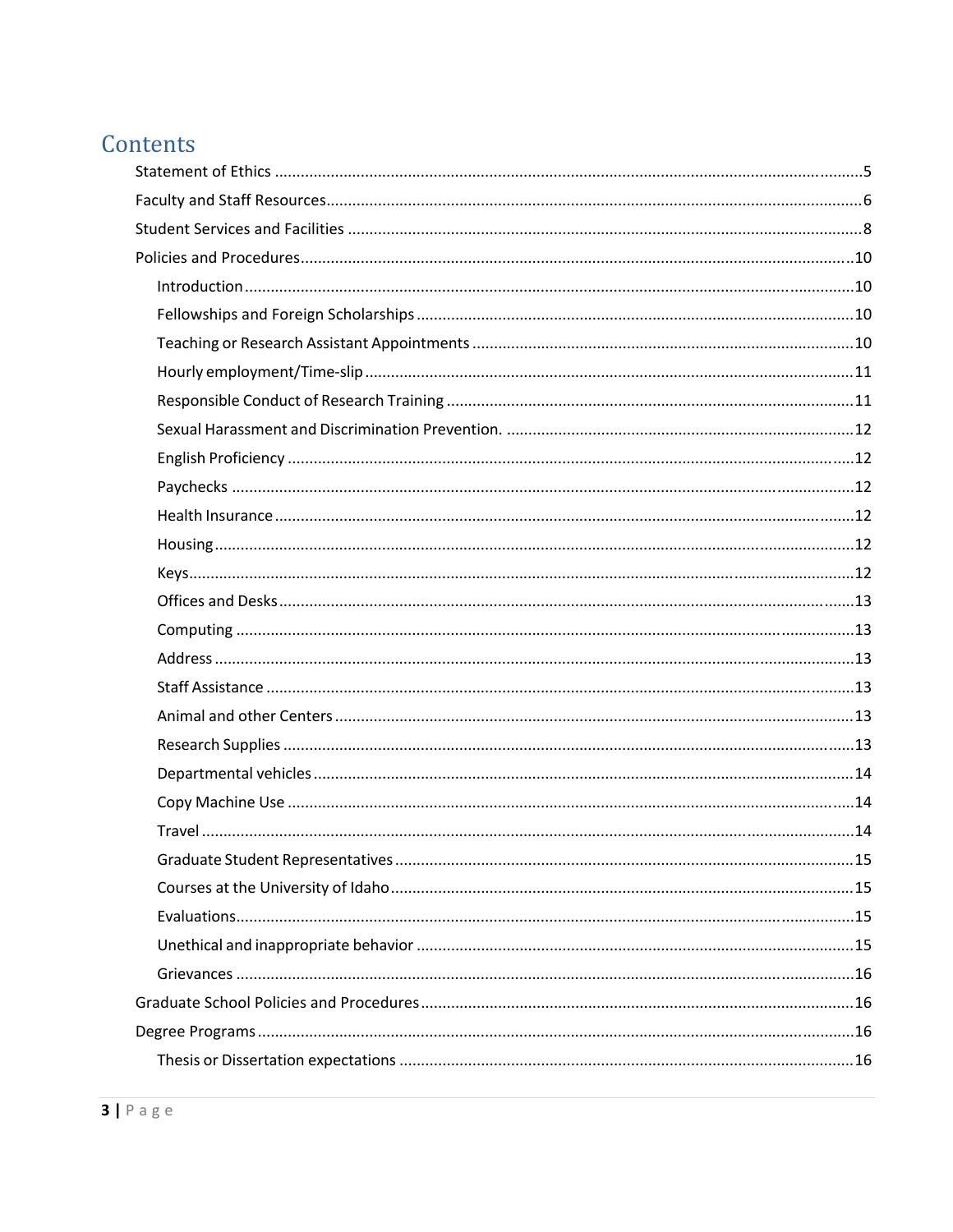# Contents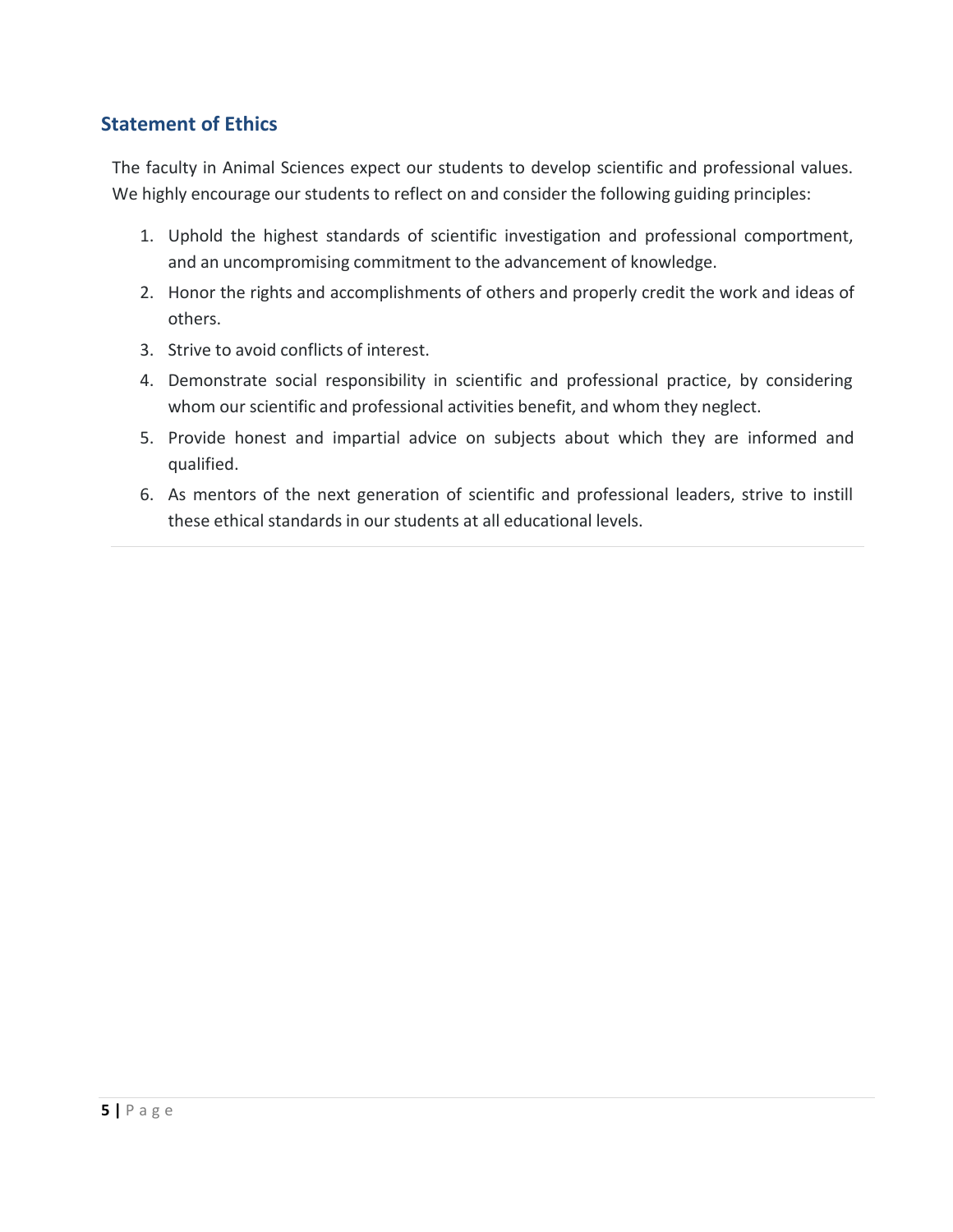# **Statement of Ethics**

The faculty in Animal Sciences expect our students to develop scientific and professional values. We highly encourage our students to reflect on and consider the following guiding principles:

- 1. Uphold the highest standards of scientific investigation and professional comportment, and an uncompromising commitment to the advancement of knowledge.
- 2. Honor the rights and accomplishments of others and properly credit the work and ideas of others.
- 3. Strive to avoid conflicts of interest.
- 4. Demonstrate social responsibility in scientific and professional practice, by considering whom our scientific and professional activities benefit, and whom they neglect.
- 5. Provide honest and impartial advice on subjects about which they are informed and qualified.
- 6. As mentors of the next generation of scientific and professional leaders, strive to instill these ethical standards in our students at all educational levels.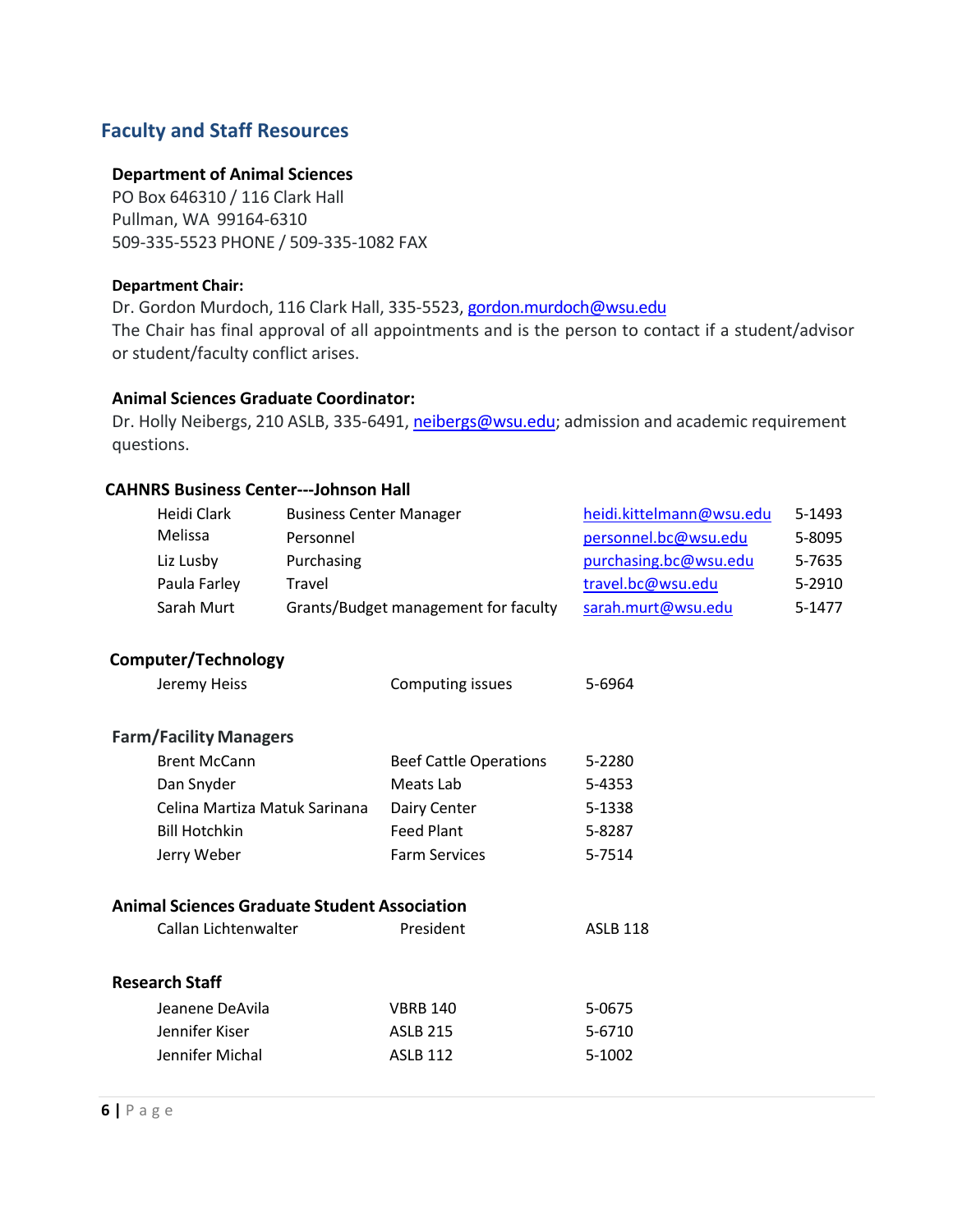# **Faculty and Staff Resources**

#### **Department of Animal Sciences**

PO Box 646310 / 116 Clark Hall Pullman, WA 99164‐6310 509‐335‐5523 PHONE / 509‐335‐1082 FAX

#### **Department Chair:**

Dr. Gordon Murdoch, 116 Clark Hall, 335-5523, gordon.murdoch@wsu.edu The Chair has final approval of all appointments and is the person to contact if a student/advisor or student/faculty conflict arises.

#### **Animal Sciences Graduate Coordinator:**

Dr. Holly Neibergs, 210 ASLB, 335-6491, neibergs@wsu.edu; admission and academic requirement questions.

#### **CAHNRS Business Center‐‐‐Johnson Hall**

| Heidi Clark<br>Melissa                              | <b>Business Center Manager</b><br>Personnel |                                      | heidi.kittelmann@wsu.edu<br>personnel.bc@wsu.edu | 5-1493<br>5-8095 |
|-----------------------------------------------------|---------------------------------------------|--------------------------------------|--------------------------------------------------|------------------|
| Liz Lusby                                           | Purchasing                                  |                                      | purchasing.bc@wsu.edu                            | 5-7635           |
| Paula Farley                                        | Travel                                      |                                      | travel.bc@wsu.edu                                | 5-2910           |
| Sarah Murt                                          |                                             | Grants/Budget management for faculty | sarah.murt@wsu.edu                               | 5-1477           |
| Computer/Technology                                 |                                             |                                      |                                                  |                  |
| Jeremy Heiss                                        |                                             | Computing issues                     | 5-6964                                           |                  |
| <b>Farm/Facility Managers</b>                       |                                             |                                      |                                                  |                  |
| <b>Brent McCann</b>                                 |                                             | <b>Beef Cattle Operations</b>        | 5-2280                                           |                  |
| Dan Snyder                                          |                                             | Meats Lab                            | 5-4353                                           |                  |
| Celina Martiza Matuk Sarinana                       |                                             | Dairy Center                         | 5-1338                                           |                  |
| <b>Bill Hotchkin</b>                                |                                             | <b>Feed Plant</b>                    | 5-8287                                           |                  |
| Jerry Weber                                         |                                             | <b>Farm Services</b>                 | 5-7514                                           |                  |
| <b>Animal Sciences Graduate Student Association</b> |                                             |                                      |                                                  |                  |
| Callan Lichtenwalter                                |                                             | President                            | <b>ASLB 118</b>                                  |                  |
| <b>Research Staff</b>                               |                                             |                                      |                                                  |                  |
| Jeanene DeAvila                                     |                                             | <b>VBRB 140</b>                      | 5-0675                                           |                  |
| Jennifer Kiser                                      |                                             | <b>ASLB 215</b>                      | 5-6710                                           |                  |
| Jennifer Michal                                     |                                             | <b>ASLB 112</b>                      | 5-1002                                           |                  |
|                                                     |                                             |                                      |                                                  |                  |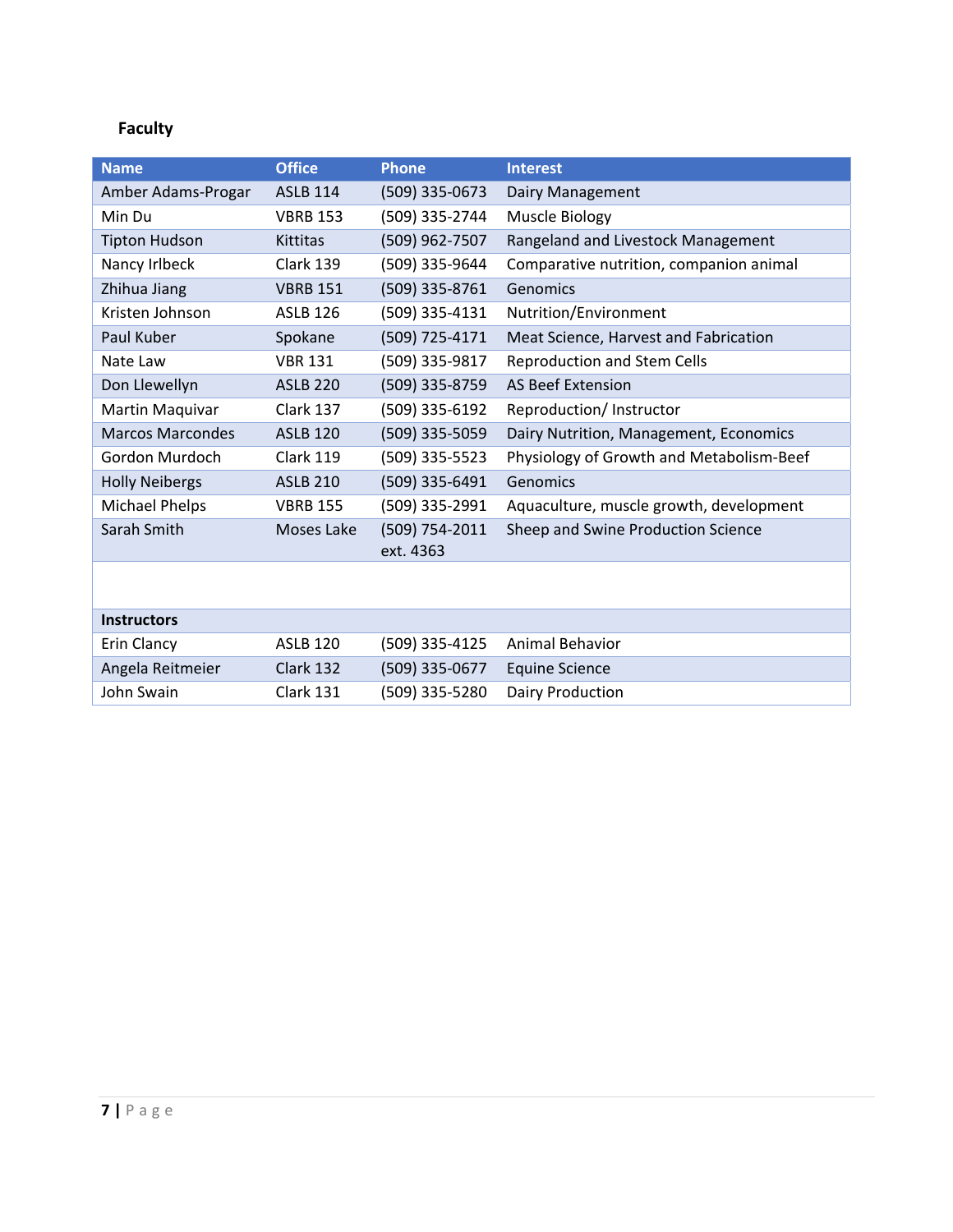# **Faculty**

| <b>Name</b>             | <b>Office</b>     | <b>Phone</b>                | <b>Interest</b>                          |
|-------------------------|-------------------|-----------------------------|------------------------------------------|
| Amber Adams-Progar      | <b>ASLB 114</b>   | (509) 335-0673              | Dairy Management                         |
| Min Du                  | <b>VBRB 153</b>   | (509) 335-2744              | Muscle Biology                           |
| <b>Tipton Hudson</b>    | Kittitas          | (509) 962-7507              | Rangeland and Livestock Management       |
| Nancy Irlbeck           | Clark 139         | (509) 335-9644              | Comparative nutrition, companion animal  |
| Zhihua Jiang            | <b>VBRB 151</b>   | (509) 335-8761              | Genomics                                 |
| Kristen Johnson         | <b>ASLB 126</b>   | (509) 335-4131              | Nutrition/Environment                    |
| Paul Kuber              | Spokane           | (509) 725-4171              | Meat Science, Harvest and Fabrication    |
| Nate Law                | <b>VBR 131</b>    | (509) 335-9817              | <b>Reproduction and Stem Cells</b>       |
| Don Llewellyn           | <b>ASLB 220</b>   | (509) 335-8759              | <b>AS Beef Extension</b>                 |
| Martin Maquivar         | Clark 137         | (509) 335-6192              | Reproduction/ Instructor                 |
| <b>Marcos Marcondes</b> | <b>ASLB 120</b>   | (509) 335-5059              | Dairy Nutrition, Management, Economics   |
| Gordon Murdoch          | <b>Clark 119</b>  | (509) 335-5523              | Physiology of Growth and Metabolism-Beef |
| <b>Holly Neibergs</b>   | <b>ASLB 210</b>   | (509) 335-6491              | Genomics                                 |
| <b>Michael Phelps</b>   | <b>VBRB 155</b>   | (509) 335-2991              | Aquaculture, muscle growth, development  |
| Sarah Smith             | <b>Moses Lake</b> | (509) 754-2011<br>ext. 4363 | Sheep and Swine Production Science       |
|                         |                   |                             |                                          |
| <b>Instructors</b>      |                   |                             |                                          |
| Erin Clancy             | <b>ASLB 120</b>   | (509) 335-4125              | Animal Behavior                          |
| Angela Reitmeier        | Clark 132         | (509) 335-0677              | <b>Equine Science</b>                    |
| John Swain              | Clark 131         | (509) 335-5280              | Dairy Production                         |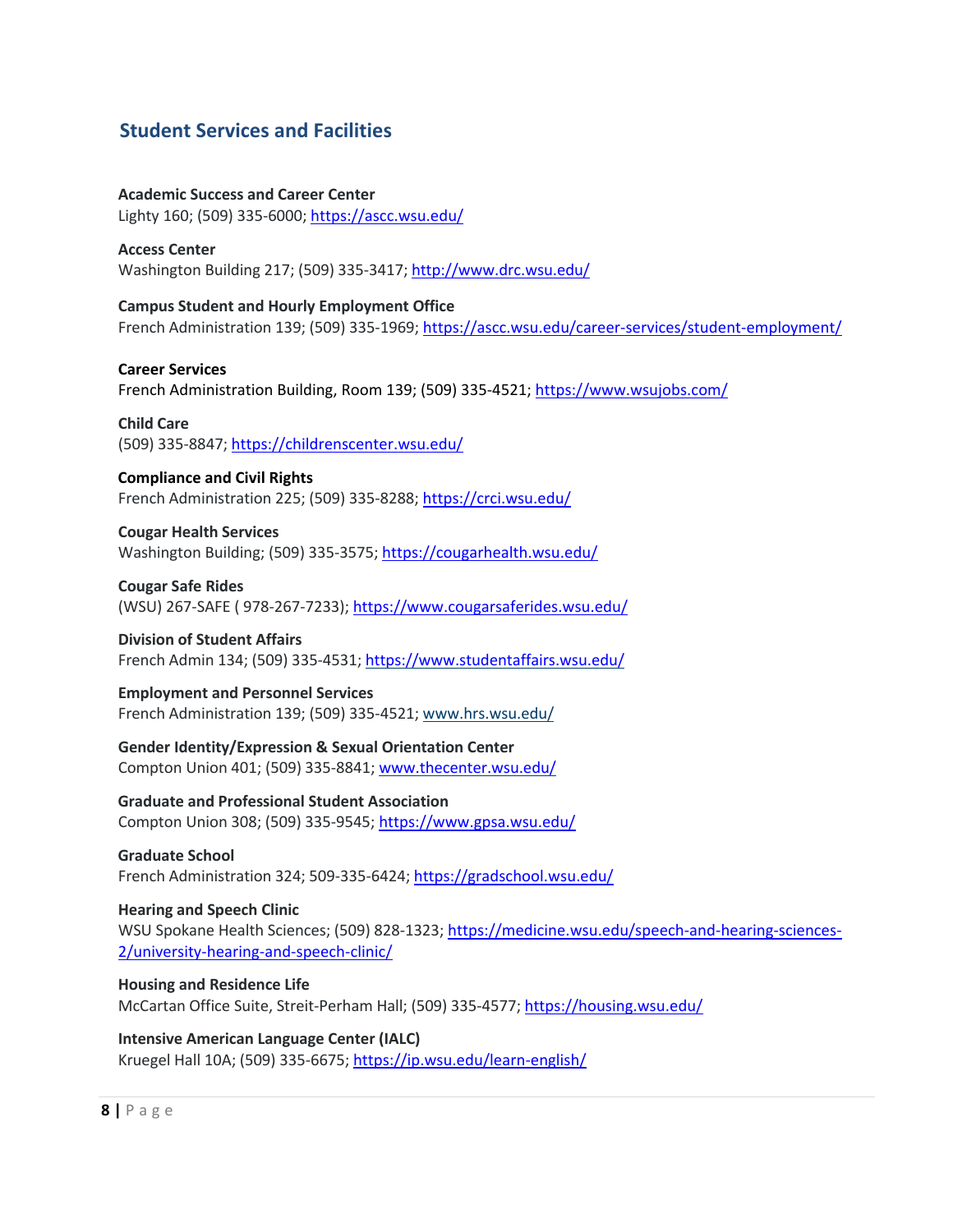# **Student Services and Facilities**

**Academic Success and Career Center** Lighty 160; (509) 335‐6000; https://ascc.wsu.edu/

**Access Center** Washington Building 217; (509) 335‐3417; http://www.drc.wsu.edu/

**Campus Student and Hourly Employment Office** French Administration 139; (509) 335‐1969; https://ascc.wsu.edu/career‐services/student‐employment/

#### **Career Services**

French Administration Building, Room 139; (509) 335‐4521; https://www.wsujobs.com/

**Child Care** (509) 335‐8847; https://childrenscenter.wsu.edu/

**Compliance and Civil Rights** French Administration 225; (509) 335‐8288; https://crci.wsu.edu/

**Cougar Health Services** Washington Building; (509) 335‐3575; https://cougarhealth.wsu.edu/

**Cougar Safe Rides** (WSU) 267‐SAFE ( 978‐267‐7233); https://www.cougarsaferides.wsu.edu/

**Division of Student Affairs** French Admin 134; (509) 335‐4531; https://www.studentaffairs.wsu.edu/

**Employment and Personnel Services** French Administration 139; (509) 335‐4521; www.hrs.wsu.edu/

**Gender Identity/Expression & Sexual Orientation Center** Compton Union 401; (509) 335‐8841; www.thecenter.wsu.edu/

**Graduate and Professional Student Association** Compton Union 308; (509) 335‐9545; https://www.gpsa.wsu.edu/

**Graduate School** French Administration 324; 509-335-6424; https://gradschool.wsu.edu/

**Hearing and Speech Clinic** WSU Spokane Health Sciences; (509) 828-1323; https://medicine.wsu.edu/speech-and-hearing-sciences-2/university‐hearing‐and‐speech‐clinic/

**Housing and Residence Life** McCartan Office Suite, Streit‐Perham Hall; (509) 335‐4577; https://housing.wsu.edu/

**Intensive American Language Center (IALC)** Kruegel Hall 10A; (509) 335‐6675; https://ip.wsu.edu/learn‐english/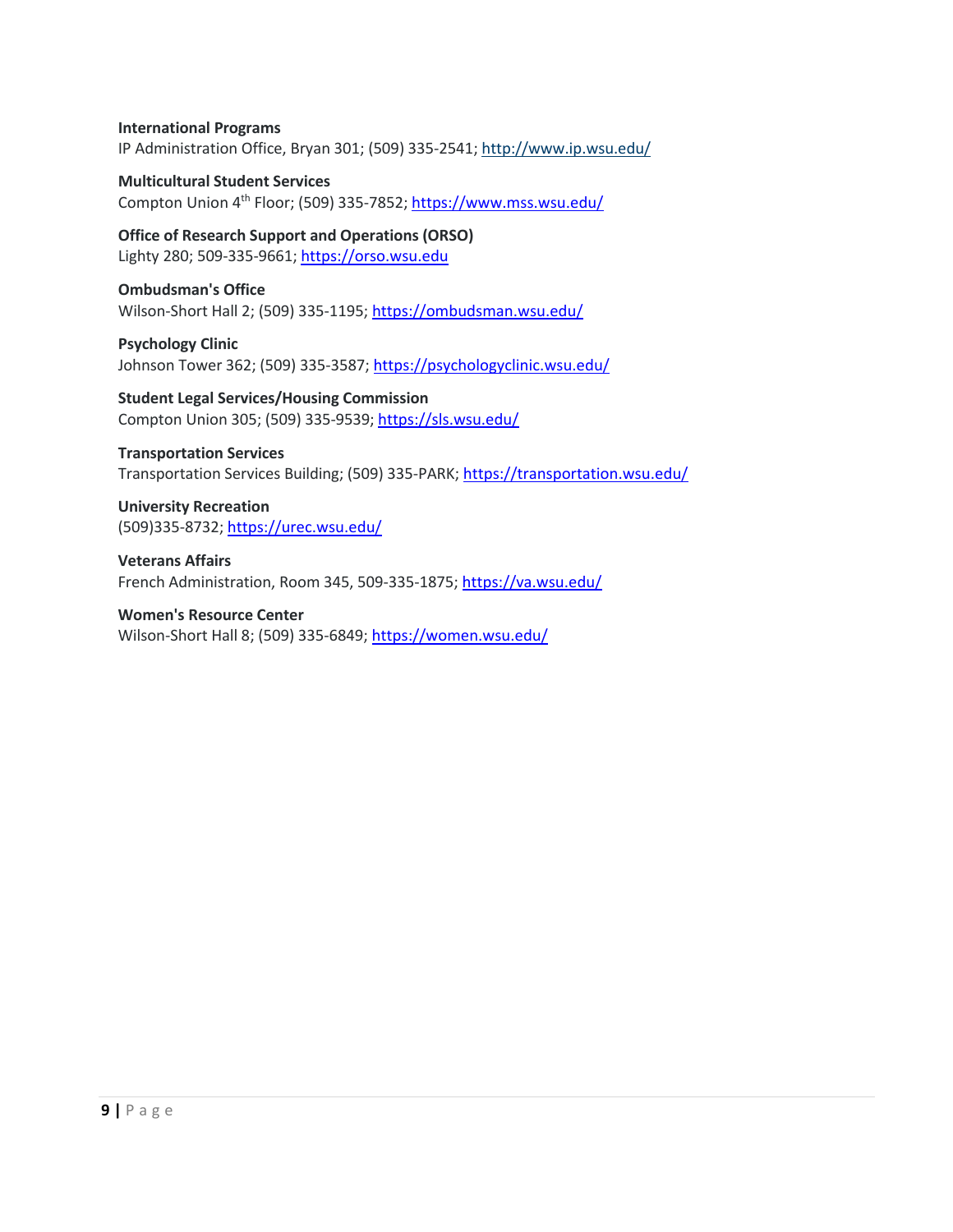#### **International Programs**

IP Administration Office, Bryan 301; (509) 335‐2541; http://www.ip.wsu.edu/

**Multicultural Student Services** Compton Union 4th Floor; (509) 335‐7852; https://www.mss.wsu.edu/

**Office of Research Support and Operations (ORSO)** Lighty 280; 509‐335‐9661; https://orso.wsu.edu

**Ombudsman's Office** Wilson-Short Hall 2; (509) 335-1195; https://ombudsman.wsu.edu/

**Psychology Clinic** Johnson Tower 362; (509) 335-3587; https://psychologyclinic.wsu.edu/

**Student Legal Services/Housing Commission** Compton Union 305; (509) 335‐9539; https://sls.wsu.edu/

#### **Transportation Services**

Transportation Services Building; (509) 335-PARK; https://transportation.wsu.edu/

**University Recreation** (509)335‐8732; https://urec.wsu.edu/

**Veterans Affairs** French Administration, Room 345, 509‐335‐1875; https://va.wsu.edu/

**Women's Resource Center** Wilson‐Short Hall 8; (509) 335‐6849; https://women.wsu.edu/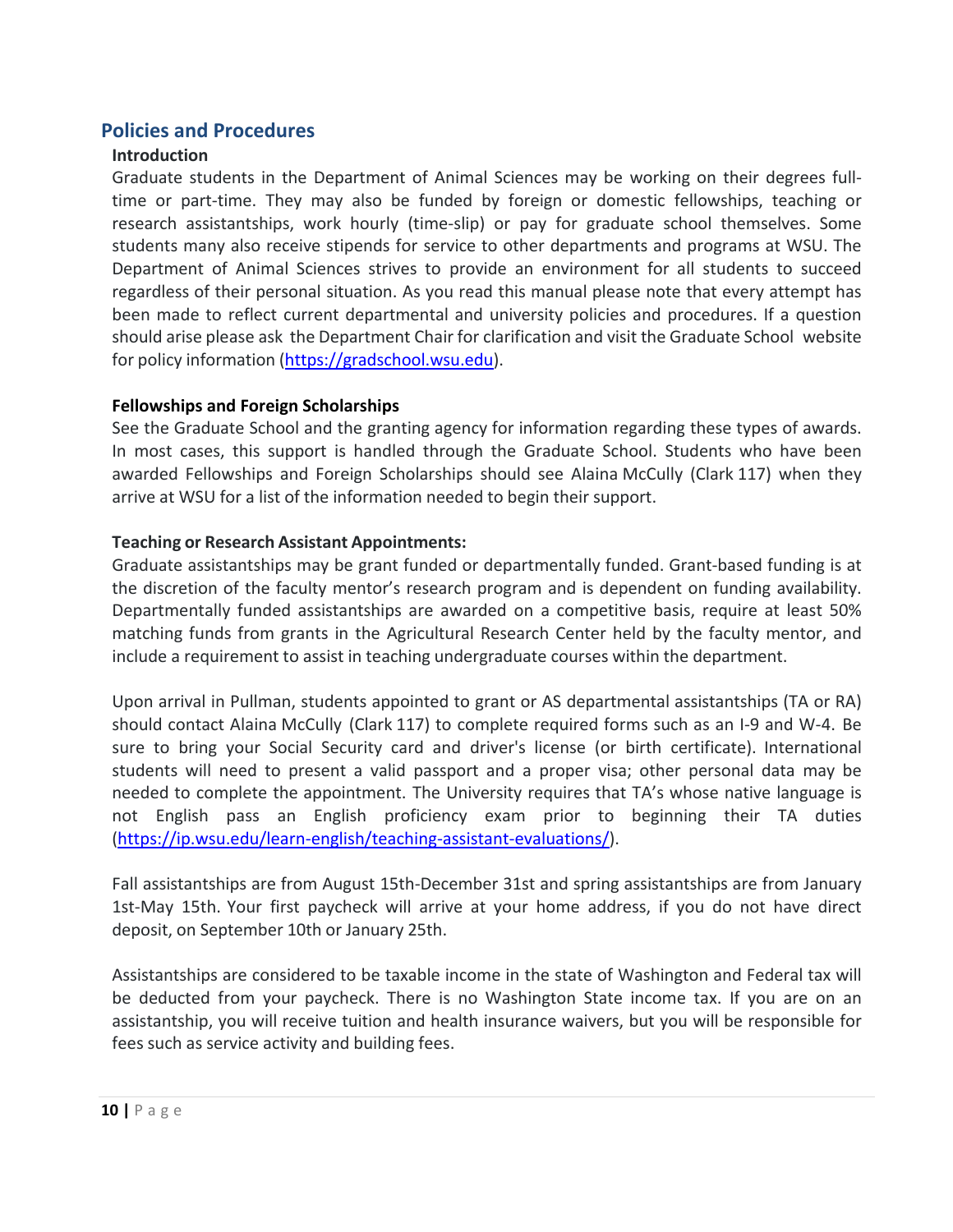# **Policies and Procedures**

#### **Introduction**

Graduate students in the Department of Animal Sciences may be working on their degrees full‐ time or part‐time. They may also be funded by foreign or domestic fellowships, teaching or research assistantships, work hourly (time-slip) or pay for graduate school themselves. Some students many also receive stipends for service to other departments and programs at WSU. The Department of Animal Sciences strives to provide an environment for all students to succeed regardless of their personal situation. As you read this manual please note that every attempt has been made to reflect current departmental and university policies and procedures. If a question should arise please ask the Department Chair for clarification and visit the Graduate School website for policy information (https://gradschool.wsu.edu).

#### **Fellowships and Foreign Scholarships**

See the Graduate School and the granting agency for information regarding these types of awards. In most cases, this support is handled through the Graduate School. Students who have been awarded Fellowships and Foreign Scholarships should see Alaina McCully (Clark 117) when they arrive at WSU for a list of the information needed to begin their support.

#### **Teaching or Research Assistant Appointments:**

Graduate assistantships may be grant funded or departmentally funded. Grant‐based funding is at the discretion of the faculty mentor's research program and is dependent on funding availability. Departmentally funded assistantships are awarded on a competitive basis, require at least 50% matching funds from grants in the Agricultural Research Center held by the faculty mentor, and include a requirement to assist in teaching undergraduate courses within the department.

Upon arrival in Pullman, students appointed to grant or AS departmental assistantships (TA or RA) should contact Alaina McCully (Clark 117) to complete required forms such as an I‐9 and W‐4. Be sure to bring your Social Security card and driver's license (or birth certificate). International students will need to present a valid passport and a proper visa; other personal data may be needed to complete the appointment. The University requires that TA's whose native language is not English pass an English proficiency exam prior to beginning their TA duties (https://ip.wsu.edu/learn‐english/teaching‐assistant‐evaluations/).

Fall assistantships are from August 15th‐December 31st and spring assistantships are from January 1st‐May 15th. Your first paycheck will arrive at your home address, if you do not have direct deposit, on September 10th or January 25th.

Assistantships are considered to be taxable income in the state of Washington and Federal tax will be deducted from your paycheck. There is no Washington State income tax. If you are on an assistantship, you will receive tuition and health insurance waivers, but you will be responsible for fees such as service activity and building fees.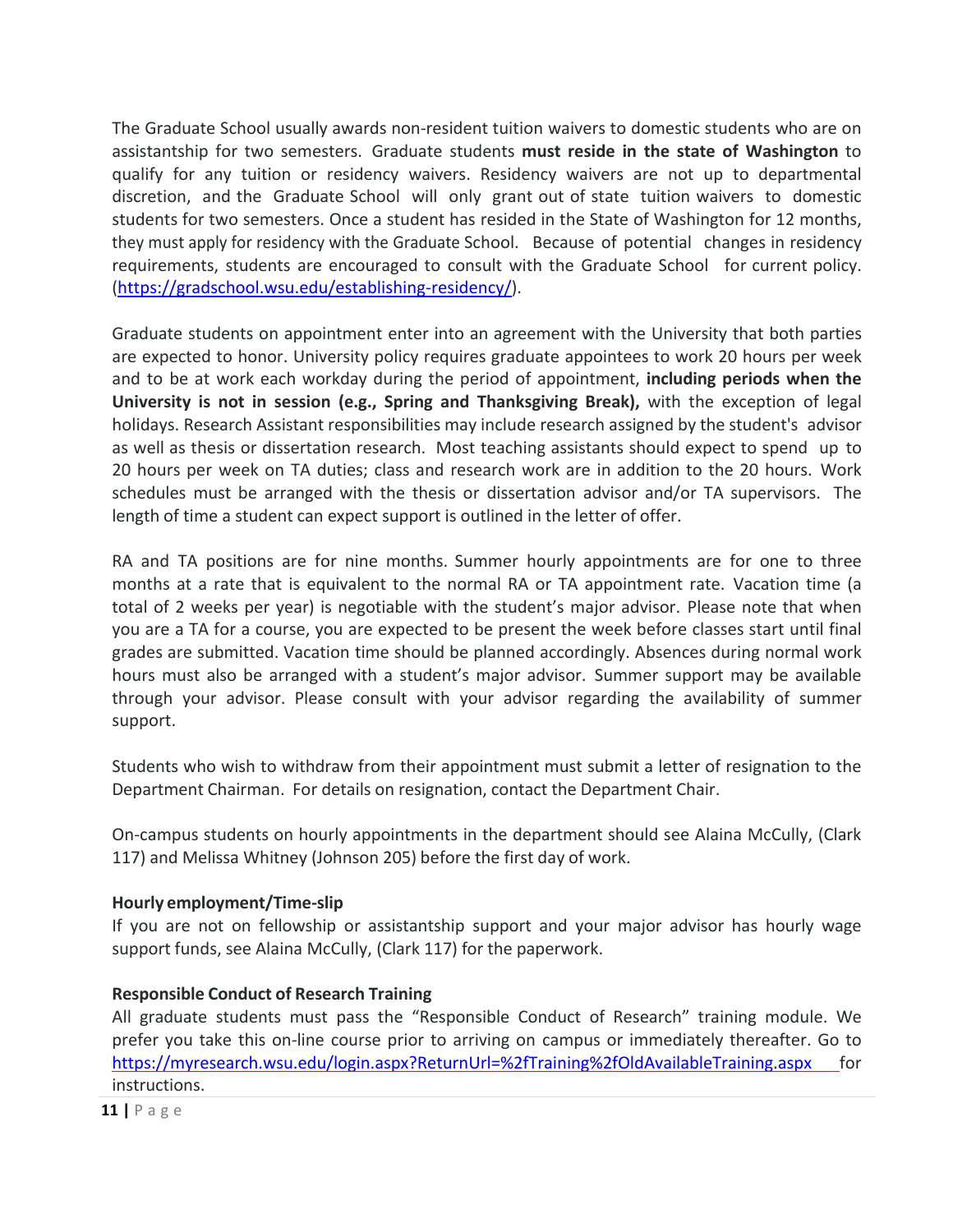The Graduate School usually awards non‐resident tuition waivers to domestic students who are on assistantship for two semesters. Graduate students **must reside in the state of Washington** to qualify for any tuition or residency waivers. Residency waivers are not up to departmental discretion, and the Graduate School will only grant out of state tuition waivers to domestic students for two semesters. Once a student has resided in the State of Washington for 12 months, they must apply for residency with the Graduate School. Because of potential changes in residency requirements, students are encouraged to consult with the Graduate School for current policy. (https://gradschool.wsu.edu/establishing‐residency/).

Graduate students on appointment enter into an agreement with the University that both parties are expected to honor. University policy requires graduate appointees to work 20 hours per week and to be at work each workday during the period of appointment, **including periods when the University is not in session (e.g., Spring and Thanksgiving Break),** with the exception of legal holidays. Research Assistant responsibilities may include research assigned by the student's advisor as well as thesis or dissertation research. Most teaching assistants should expect to spend up to 20 hours per week on TA duties; class and research work are in addition to the 20 hours. Work schedules must be arranged with the thesis or dissertation advisor and/or TA supervisors. The length of time a student can expect support is outlined in the letter of offer.

RA and TA positions are for nine months. Summer hourly appointments are for one to three months at a rate that is equivalent to the normal RA or TA appointment rate. Vacation time (a total of 2 weeks per year) is negotiable with the student's major advisor. Please note that when you are a TA for a course, you are expected to be present the week before classes start until final grades are submitted. Vacation time should be planned accordingly. Absences during normal work hours must also be arranged with a student's major advisor. Summer support may be available through your advisor. Please consult with your advisor regarding the availability of summer support.

Students who wish to withdraw from their appointment must submit a letter of resignation to the Department Chairman. For details on resignation, contact the Department Chair.

On‐campus students on hourly appointments in the department should see Alaina McCully, (Clark 117) and Melissa Whitney (Johnson 205) before the first day of work.

#### **Hourly employment/Time‐slip**

If you are not on fellowship or assistantship support and your major advisor has hourly wage support funds, see Alaina McCully, (Clark 117) for the paperwork.

#### **Responsible Conduct of Research Training**

All graduate students must pass the "Responsible Conduct of Research" training module. We prefer you take this on-line course prior to arriving on campus or immediately thereafter. Go to https://myresearch.wsu.edu/login.aspx?ReturnUrl=%2fTraining%2fOldAvailableTraining.aspx for instructions.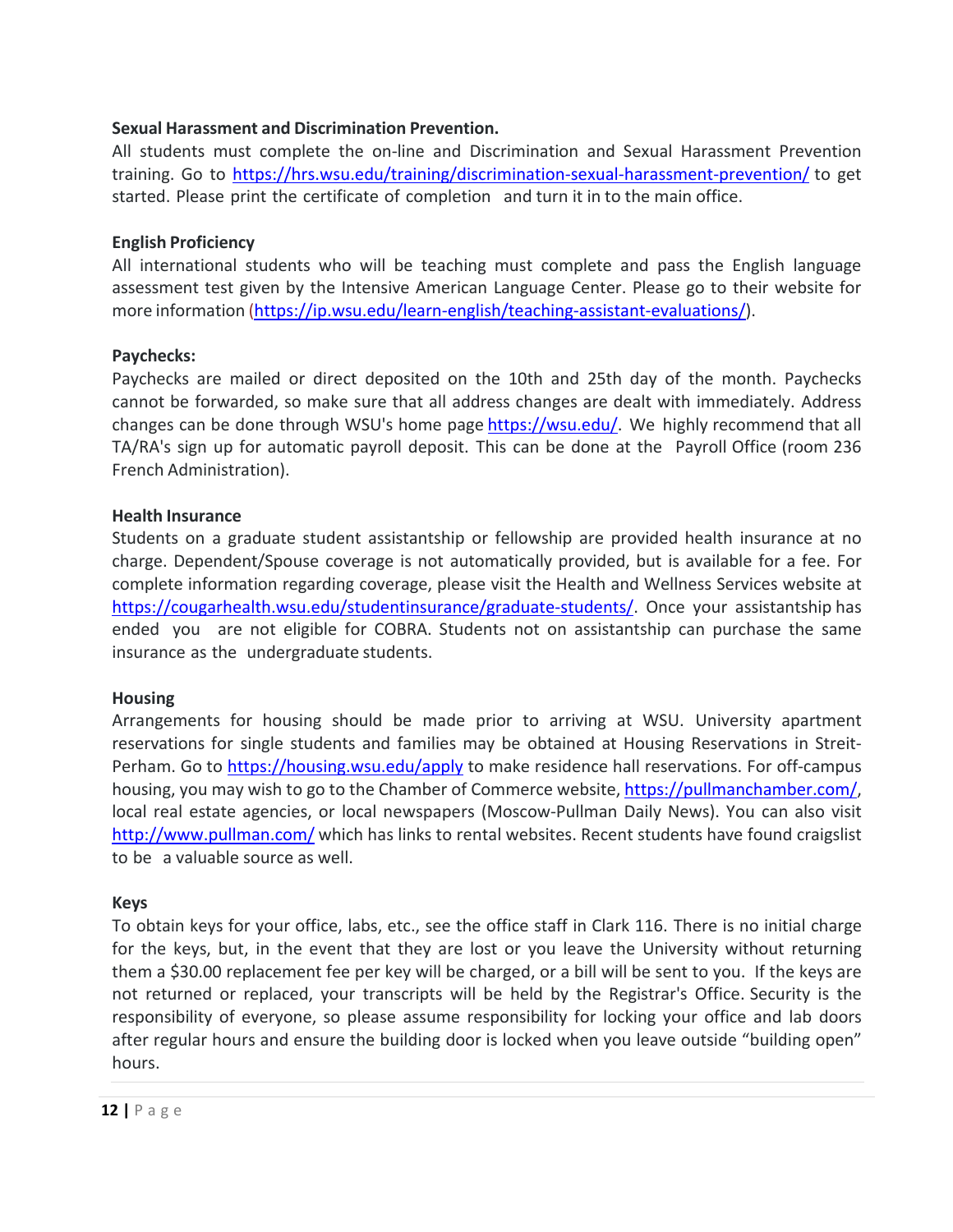#### **Sexual Harassment and Discrimination Prevention.**

All students must complete the on‐line and Discrimination and Sexual Harassment Prevention training. Go to https://hrs.wsu.edu/training/discrimination‐sexual‐harassment‐prevention/ to get started. Please print the certificate of completion and turn it in to the main office.

#### **English Proficiency**

All international students who will be teaching must complete and pass the English language assessment test given by the Intensive American Language Center. Please go to their website for more information (https://ip.wsu.edu/learn-english/teaching-assistant-evaluations/).

#### **Paychecks:**

Paychecks are mailed or direct deposited on the 10th and 25th day of the month. Paychecks cannot be forwarded, so make sure that all address changes are dealt with immediately. Address changes can be done through WSU's home page https://wsu.edu/. We highly recommend that all TA/RA's sign up for automatic payroll deposit. This can be done at the Payroll Office (room 236 French Administration).

#### **Health Insurance**

Students on a graduate student assistantship or fellowship are provided health insurance at no charge. Dependent/Spouse coverage is not automatically provided, but is available for a fee. For complete information regarding coverage, please visit the Health and Wellness Services website at https://cougarhealth.wsu.edu/studentinsurance/graduate-students/. Once your assistantship has ended you are not eligible for COBRA. Students not on assistantship can purchase the same insurance as the undergraduate students.

#### **Housing**

Arrangements for housing should be made prior to arriving at WSU. University apartment reservations for single students and families may be obtained at Housing Reservations in Streit‐ Perham. Go to https://housing.wsu.edu/apply to make residence hall reservations. For off-campus housing, you may wish to go to the Chamber of Commerce website, https://pullmanchamber.com/, local real estate agencies, or local newspapers (Moscow‐Pullman Daily News). You can also visit http://www.pullman.com/ which has links to rental websites. Recent students have found craigslist to be a valuable source as well.

#### **Keys**

To obtain keys for your office, labs, etc., see the office staff in Clark 116. There is no initial charge for the keys, but, in the event that they are lost or you leave the University without returning them a \$30.00 replacement fee per key will be charged, or a bill will be sent to you. If the keys are not returned or replaced, your transcripts will be held by the Registrar's Office. Security is the responsibility of everyone, so please assume responsibility for locking your office and lab doors after regular hours and ensure the building door is locked when you leave outside "building open" hours.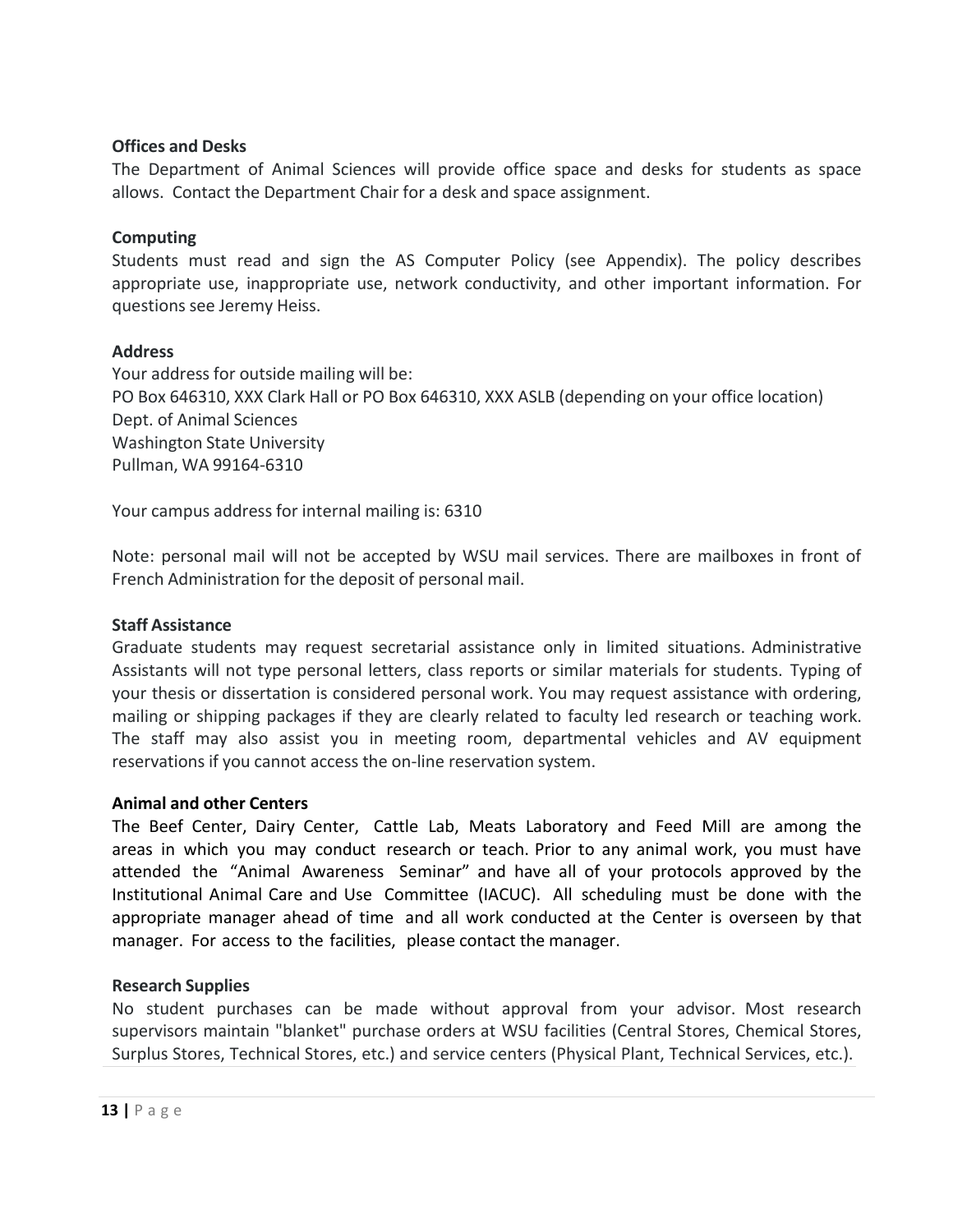#### **Offices and Desks**

The Department of Animal Sciences will provide office space and desks for students as space allows. Contact the Department Chair for a desk and space assignment.

#### **Computing**

Students must read and sign the AS Computer Policy (see Appendix). The policy describes appropriate use, inappropriate use, network conductivity, and other important information. For questions see Jeremy Heiss.

#### **Address**

Your address for outside mailing will be: PO Box 646310, XXX Clark Hall or PO Box 646310, XXX ASLB (depending on your office location) Dept. of Animal Sciences Washington State University Pullman, WA 99164‐6310

Your campus address for internal mailing is: 6310

Note: personal mail will not be accepted by WSU mail services. There are mailboxes in front of French Administration for the deposit of personal mail.

#### **Staff Assistance**

Graduate students may request secretarial assistance only in limited situations. Administrative Assistants will not type personal letters, class reports or similar materials for students. Typing of your thesis or dissertation is considered personal work. You may request assistance with ordering, mailing or shipping packages if they are clearly related to faculty led research or teaching work. The staff may also assist you in meeting room, departmental vehicles and AV equipment reservations if you cannot access the on‐line reservation system.

#### **Animal and other Centers**

The Beef Center, Dairy Center, Cattle Lab, Meats Laboratory and Feed Mill are among the areas in which you may conduct research or teach. Prior to any animal work, you must have attended the "Animal Awareness Seminar" and have all of your protocols approved by the Institutional Animal Care and Use Committee (IACUC). All scheduling must be done with the appropriate manager ahead of time and all work conducted at the Center is overseen by that manager. For access to the facilities, please contact the manager.

#### **Research Supplies**

No student purchases can be made without approval from your advisor. Most research supervisors maintain "blanket" purchase orders at WSU facilities (Central Stores, Chemical Stores, Surplus Stores, Technical Stores, etc.) and service centers (Physical Plant, Technical Services, etc.).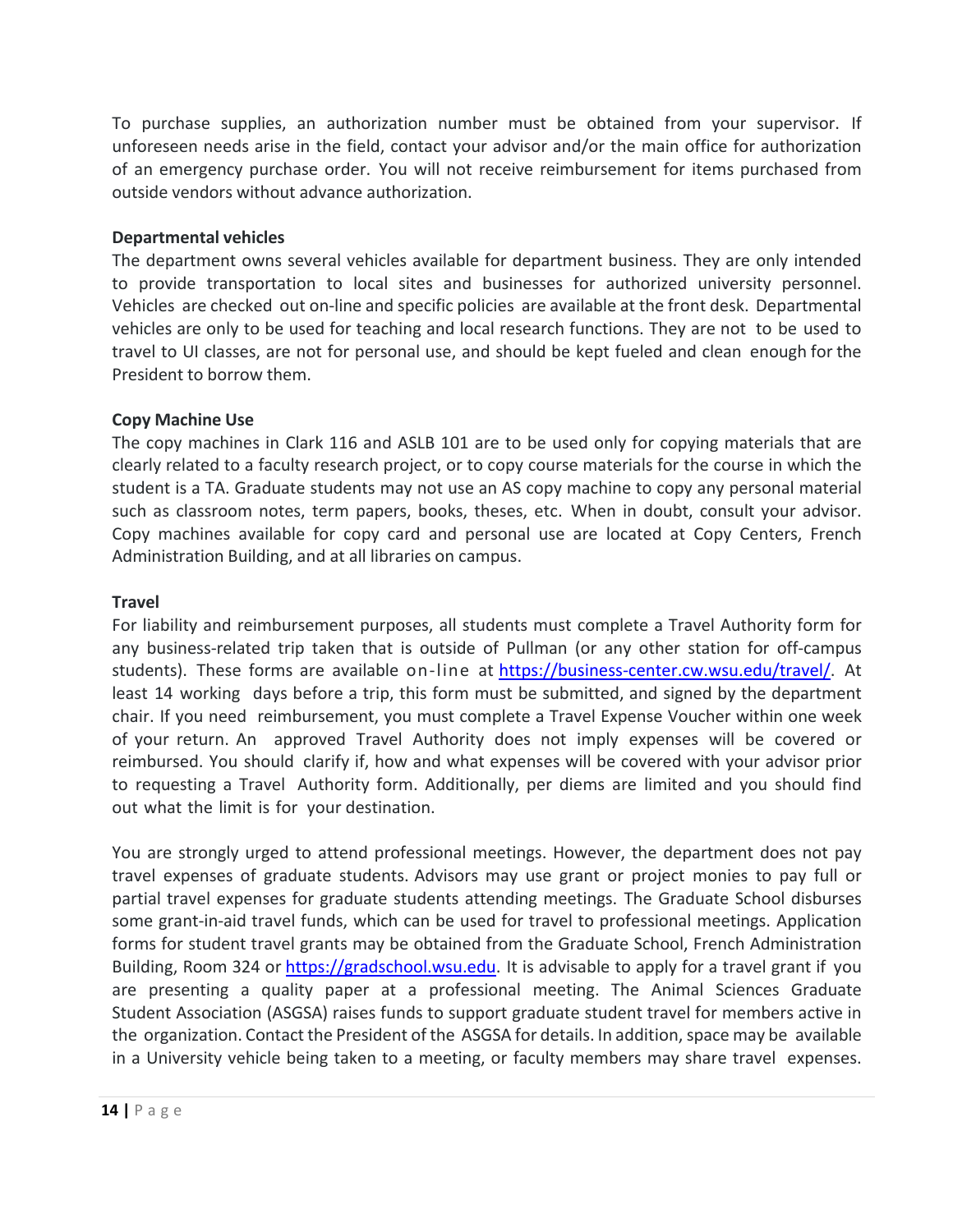To purchase supplies, an authorization number must be obtained from your supervisor. If unforeseen needs arise in the field, contact your advisor and/or the main office for authorization of an emergency purchase order. You will not receive reimbursement for items purchased from outside vendors without advance authorization.

#### **Departmental vehicles**

The department owns several vehicles available for department business. They are only intended to provide transportation to local sites and businesses for authorized university personnel. Vehicles are checked out on‐line and specific policies are available at the front desk. Departmental vehicles are only to be used for teaching and local research functions. They are not to be used to travel to UI classes, are not for personal use, and should be kept fueled and clean enough for the President to borrow them.

#### **Copy Machine Use**

The copy machines in Clark 116 and ASLB 101 are to be used only for copying materials that are clearly related to a faculty research project, or to copy course materials for the course in which the student is a TA. Graduate students may not use an AS copy machine to copy any personal material such as classroom notes, term papers, books, theses, etc. When in doubt, consult your advisor. Copy machines available for copy card and personal use are located at Copy Centers, French Administration Building, and at all libraries on campus.

#### **Travel**

For liability and reimbursement purposes, all students must complete a Travel Authority form for any business-related trip taken that is outside of Pullman (or any other station for off-campus students). These forms are available on-line at https://business-center.cw.wsu.edu/travel/. At least 14 working days before a trip, this form must be submitted, and signed by the department chair. If you need reimbursement, you must complete a Travel Expense Voucher within one week of your return. An approved Travel Authority does not imply expenses will be covered or reimbursed. You should clarify if, how and what expenses will be covered with your advisor prior to requesting a Travel Authority form. Additionally, per diems are limited and you should find out what the limit is for your destination.

You are strongly urged to attend professional meetings. However, the department does not pay travel expenses of graduate students. Advisors may use grant or project monies to pay full or partial travel expenses for graduate students attending meetings. The Graduate School disburses some grant‐in‐aid travel funds, which can be used for travel to professional meetings. Application forms for student travel grants may be obtained from the Graduate School, French Administration Building, Room 324 or https://gradschool.wsu.edu. It is advisable to apply for a travel grant if you are presenting a quality paper at a professional meeting. The Animal Sciences Graduate Student Association (ASGSA) raises funds to support graduate student travel for members active in the organization. Contact the President of the ASGSA for details. In addition, space may be available in a University vehicle being taken to a meeting, or faculty members may share travel expenses.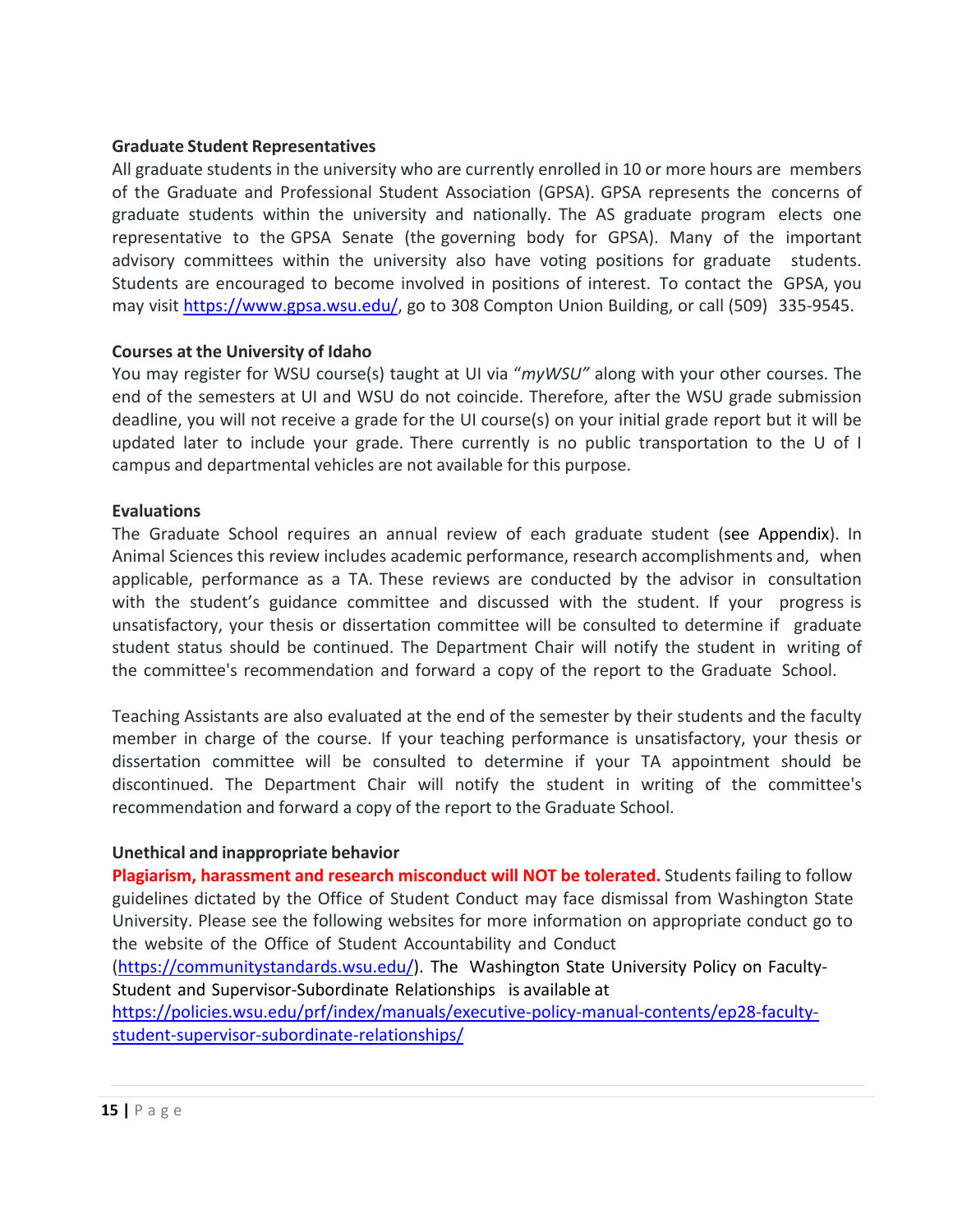#### **Graduate Student Representatives**

All graduate students in the university who are currently enrolled in 10 or more hours are members of the Graduate and Professional Student Association (GPSA). GPSA represents the concerns of graduate students within the university and nationally. The AS graduate program elects one representative to the GPSA Senate (the governing body for GPSA). Many of the important advisory committees within the university also have voting positions for graduate students. Students are encouraged to become involved in positions of interest. To contact the GPSA, you may visit https://www.gpsa.wsu.edu/, go to 308 Compton Union Building, or call (509) 335‐9545.

#### **Courses at the University of Idaho**

You may register for WSU course(s) taught at UI via "*myWSU"* along with your other courses. The end of the semesters at UI and WSU do not coincide. Therefore, after the WSU grade submission deadline, you will not receive a grade for the UI course(s) on your initial grade report but it will be updated later to include your grade. There currently is no public transportation to the U of I campus and departmental vehicles are not available for this purpose.

#### **Evaluations**

The Graduate School requires an annual review of each graduate student (see Appendix). In Animal Sciences this review includes academic performance, research accomplishments and, when applicable, performance as a TA. These reviews are conducted by the advisor in consultation with the student's guidance committee and discussed with the student. If your progress is unsatisfactory, your thesis or dissertation committee will be consulted to determine if graduate student status should be continued. The Department Chair will notify the student in writing of the committee's recommendation and forward a copy of the report to the Graduate School.

Teaching Assistants are also evaluated at the end of the semester by their students and the faculty member in charge of the course. If your teaching performance is unsatisfactory, your thesis or dissertation committee will be consulted to determine if your TA appointment should be discontinued. The Department Chair will notify the student in writing of the committee's recommendation and forward a copy of the report to the Graduate School.

#### **Unethical and inappropriate behavior**

**Plagiarism, harassment and research misconduct will NOT be tolerated.** Students failing to follow guidelines dictated by the Office of Student Conduct may face dismissal from Washington State University. Please see the following websites for more information on appropriate conduct go to the website of the Office of Student Accountability and Conduct

(https://communitystandards.wsu.edu/). The Washington State University Policy on Faculty-Student and Supervisor‐Subordinate Relationships is available at

https://policies.wsu.edu/prf/index/manuals/executive‐policy‐manual‐contents/ep28‐faculty‐ student‐supervisor‐subordinate‐relationships/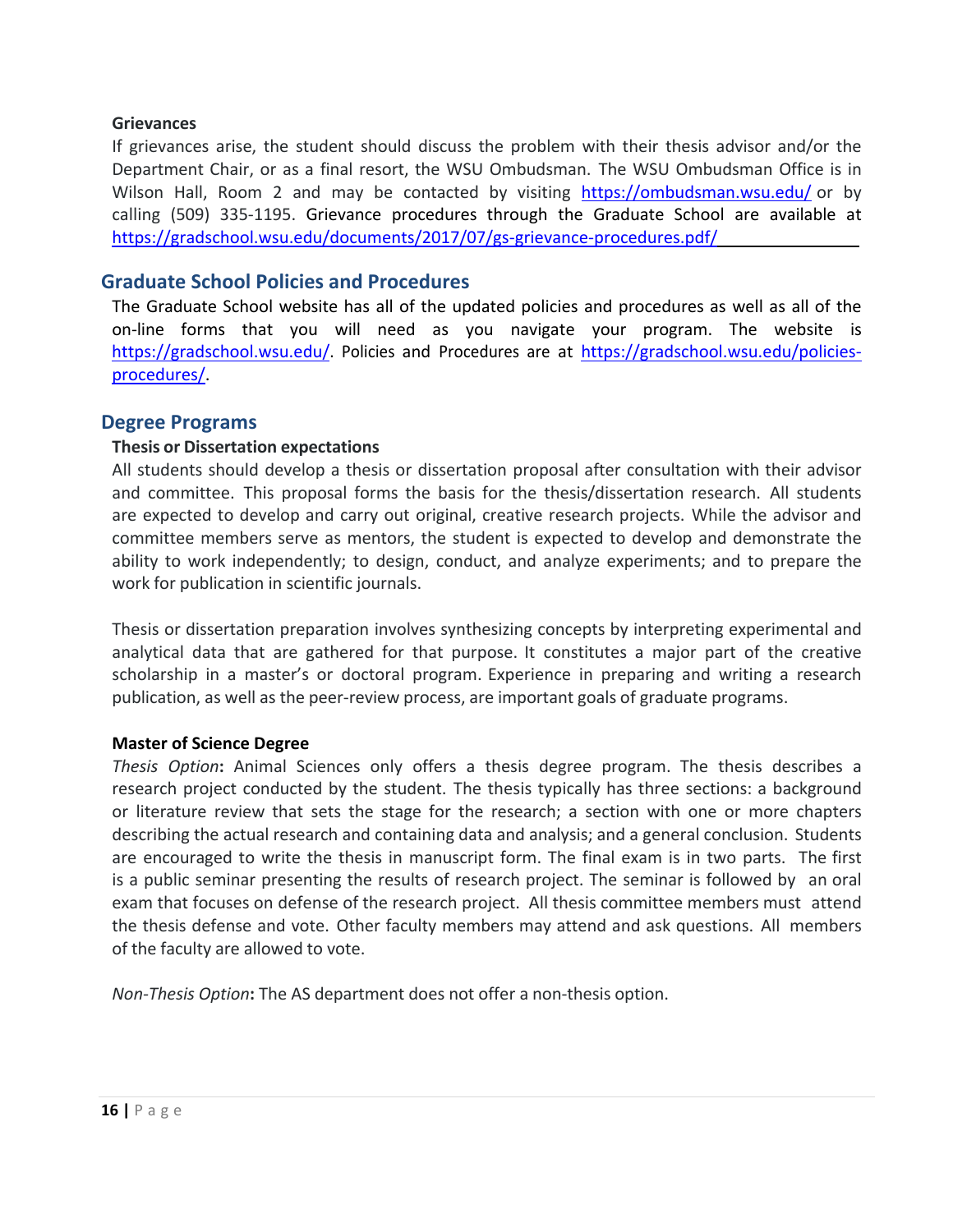#### **Grievances**

If grievances arise, the student should discuss the problem with their thesis advisor and/or the Department Chair, or as a final resort, the WSU Ombudsman. The WSU Ombudsman Office is in Wilson Hall, Room 2 and may be contacted by visiting https://ombudsman.wsu.edu/ or by calling (509) 335‐1195. Grievance procedures through the Graduate School are available at https://gradschool.wsu.edu/documents/2017/07/gs‐grievance‐procedures.pdf/

#### **Graduate School Policies and Procedures**

The Graduate School website has all of the updated policies and procedures as well as all of the on‐line forms that you will need as you navigate your program. The website is https://gradschool.wsu.edu/. Policies and Procedures are at https://gradschool.wsu.edu/policiesprocedures/.

#### **Degree Programs**

#### **Thesis or Dissertation expectations**

All students should develop a thesis or dissertation proposal after consultation with their advisor and committee. This proposal forms the basis for the thesis/dissertation research. All students are expected to develop and carry out original, creative research projects. While the advisor and committee members serve as mentors, the student is expected to develop and demonstrate the ability to work independently; to design, conduct, and analyze experiments; and to prepare the work for publication in scientific journals.

Thesis or dissertation preparation involves synthesizing concepts by interpreting experimental and analytical data that are gathered for that purpose. It constitutes a major part of the creative scholarship in a master's or doctoral program. Experience in preparing and writing a research publication, as well as the peer‐review process, are important goals of graduate programs.

#### **Master of Science Degree**

*Thesis Option***:** Animal Sciences only offers a thesis degree program. The thesis describes a research project conducted by the student. The thesis typically has three sections: a background or literature review that sets the stage for the research; a section with one or more chapters describing the actual research and containing data and analysis; and a general conclusion. Students are encouraged to write the thesis in manuscript form. The final exam is in two parts. The first is a public seminar presenting the results of research project. The seminar is followed by an oral exam that focuses on defense of the research project. All thesis committee members must attend the thesis defense and vote. Other faculty members may attend and ask questions. All members of the faculty are allowed to vote.

*Non‐Thesis Option***:** The AS department does not offer a non‐thesis option.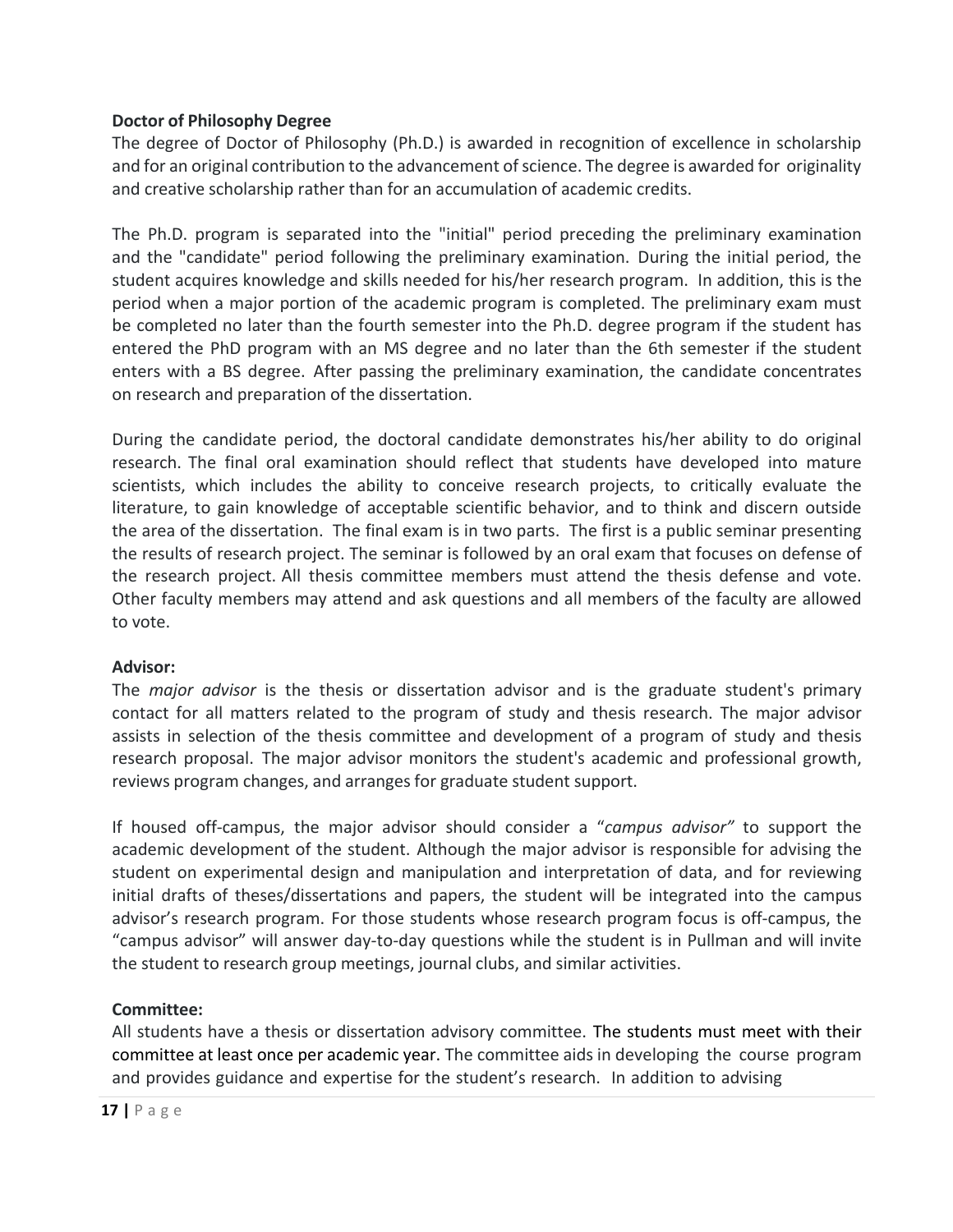#### **Doctor of Philosophy Degree**

The degree of Doctor of Philosophy (Ph.D.) is awarded in recognition of excellence in scholarship and for an original contribution to the advancement of science. The degree is awarded for originality and creative scholarship rather than for an accumulation of academic credits.

The Ph.D. program is separated into the "initial" period preceding the preliminary examination and the "candidate" period following the preliminary examination. During the initial period, the student acquires knowledge and skills needed for his/her research program. In addition, this is the period when a major portion of the academic program is completed. The preliminary exam must be completed no later than the fourth semester into the Ph.D. degree program if the student has entered the PhD program with an MS degree and no later than the 6th semester if the student enters with a BS degree. After passing the preliminary examination, the candidate concentrates on research and preparation of the dissertation.

During the candidate period, the doctoral candidate demonstrates his/her ability to do original research. The final oral examination should reflect that students have developed into mature scientists, which includes the ability to conceive research projects, to critically evaluate the literature, to gain knowledge of acceptable scientific behavior, and to think and discern outside the area of the dissertation. The final exam is in two parts. The first is a public seminar presenting the results of research project. The seminar is followed by an oral exam that focuses on defense of the research project. All thesis committee members must attend the thesis defense and vote. Other faculty members may attend and ask questions and all members of the faculty are allowed to vote.

#### **Advisor:**

The *major advisor* is the thesis or dissertation advisor and is the graduate student's primary contact for all matters related to the program of study and thesis research. The major advisor assists in selection of the thesis committee and development of a program of study and thesis research proposal. The major advisor monitors the student's academic and professional growth, reviews program changes, and arranges for graduate student support.

If housed off‐campus, the major advisor should consider a "*campus advisor"* to support the academic development of the student. Although the major advisor is responsible for advising the student on experimental design and manipulation and interpretation of data, and for reviewing initial drafts of theses/dissertations and papers, the student will be integrated into the campus advisor's research program. For those students whose research program focus is off‐campus, the "campus advisor" will answer day‐to‐day questions while the student is in Pullman and will invite the student to research group meetings, journal clubs, and similar activities.

#### **Committee:**

All students have a thesis or dissertation advisory committee. The students must meet with their committee at least once per academic year. The committee aids in developing the course program and provides guidance and expertise for the student's research. In addition to advising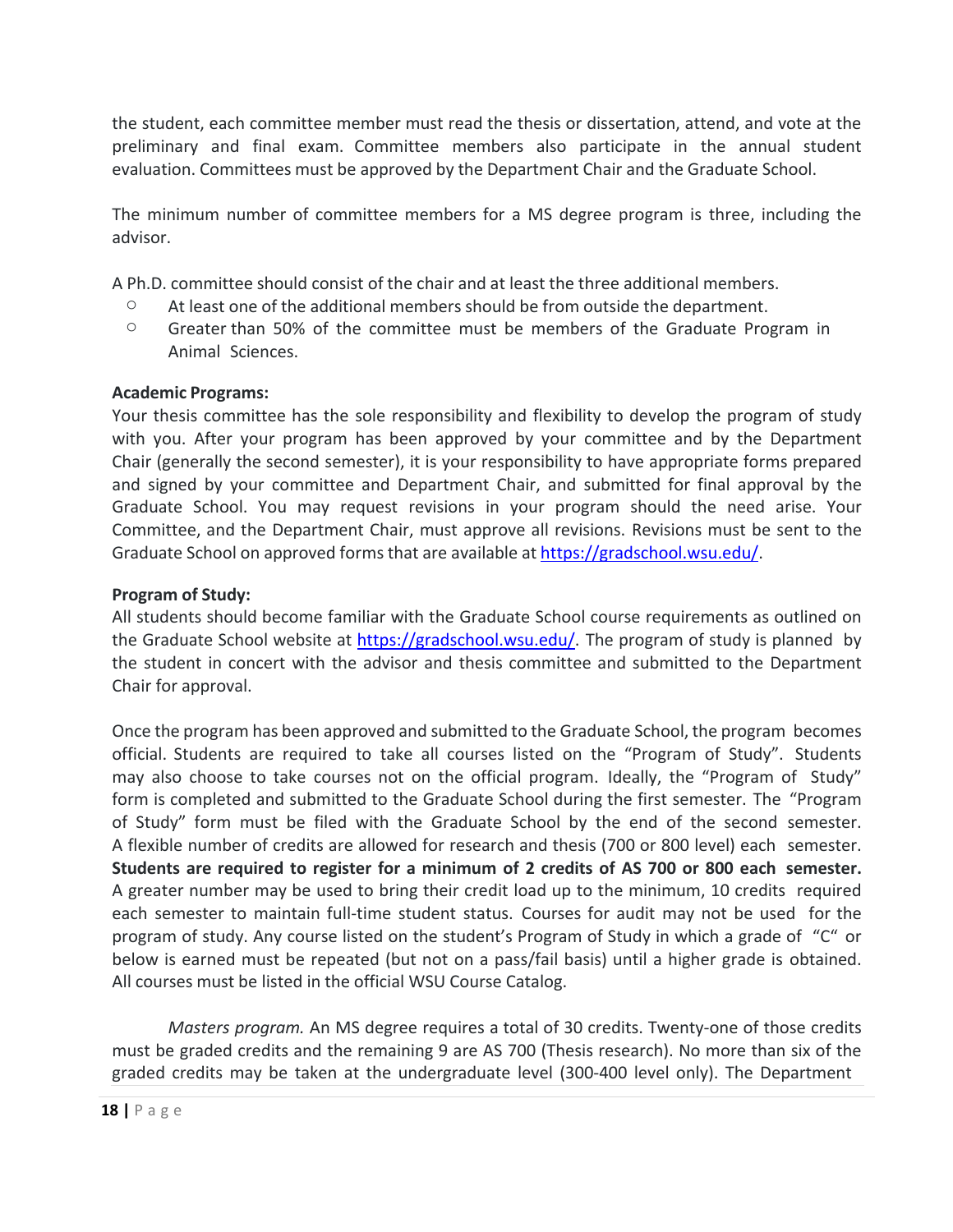the student, each committee member must read the thesis or dissertation, attend, and vote at the preliminary and final exam. Committee members also participate in the annual student evaluation. Committees must be approved by the Department Chair and the Graduate School.

The minimum number of committee members for a MS degree program is three, including the advisor.

A Ph.D. committee should consist of the chair and at least the three additional members.

- $\circ$  At least one of the additional members should be from outside the department.
- o Greater than 50% of the committee must be members of the Graduate Program in Animal Sciences.

#### **Academic Programs:**

Your thesis committee has the sole responsibility and flexibility to develop the program of study with you. After your program has been approved by your committee and by the Department Chair (generally the second semester), it is your responsibility to have appropriate forms prepared and signed by your committee and Department Chair, and submitted for final approval by the Graduate School. You may request revisions in your program should the need arise. Your Committee, and the Department Chair, must approve all revisions. Revisions must be sent to the Graduate School on approved forms that are available at https://gradschool.wsu.edu/.

#### **Program of Study:**

All students should become familiar with the Graduate School course requirements as outlined on the Graduate School website at https://gradschool.wsu.edu/. The program of study is planned by the student in concert with the advisor and thesis committee and submitted to the Department Chair for approval.

Once the program has been approved and submitted to the Graduate School, the program becomes official. Students are required to take all courses listed on the "Program of Study". Students may also choose to take courses not on the official program. Ideally, the "Program of Study" form is completed and submitted to the Graduate School during the first semester. The "Program of Study" form must be filed with the Graduate School by the end of the second semester. A flexible number of credits are allowed for research and thesis (700 or 800 level) each semester. **Students are required to register for a minimum of 2 credits of AS 700 or 800 each semester.** A greater number may be used to bring their credit load up to the minimum, 10 credits required each semester to maintain full-time student status. Courses for audit may not be used for the program of study. Any course listed on the student's Program of Study in which a grade of "C" or below is earned must be repeated (but not on a pass/fail basis) until a higher grade is obtained. All courses must be listed in the official WSU Course Catalog.

*Masters program.* An MS degree requires a total of 30 credits. Twenty-one of those credits must be graded credits and the remaining 9 are AS 700 (Thesis research). No more than six of the graded credits may be taken at the undergraduate level (300‐400 level only). The Department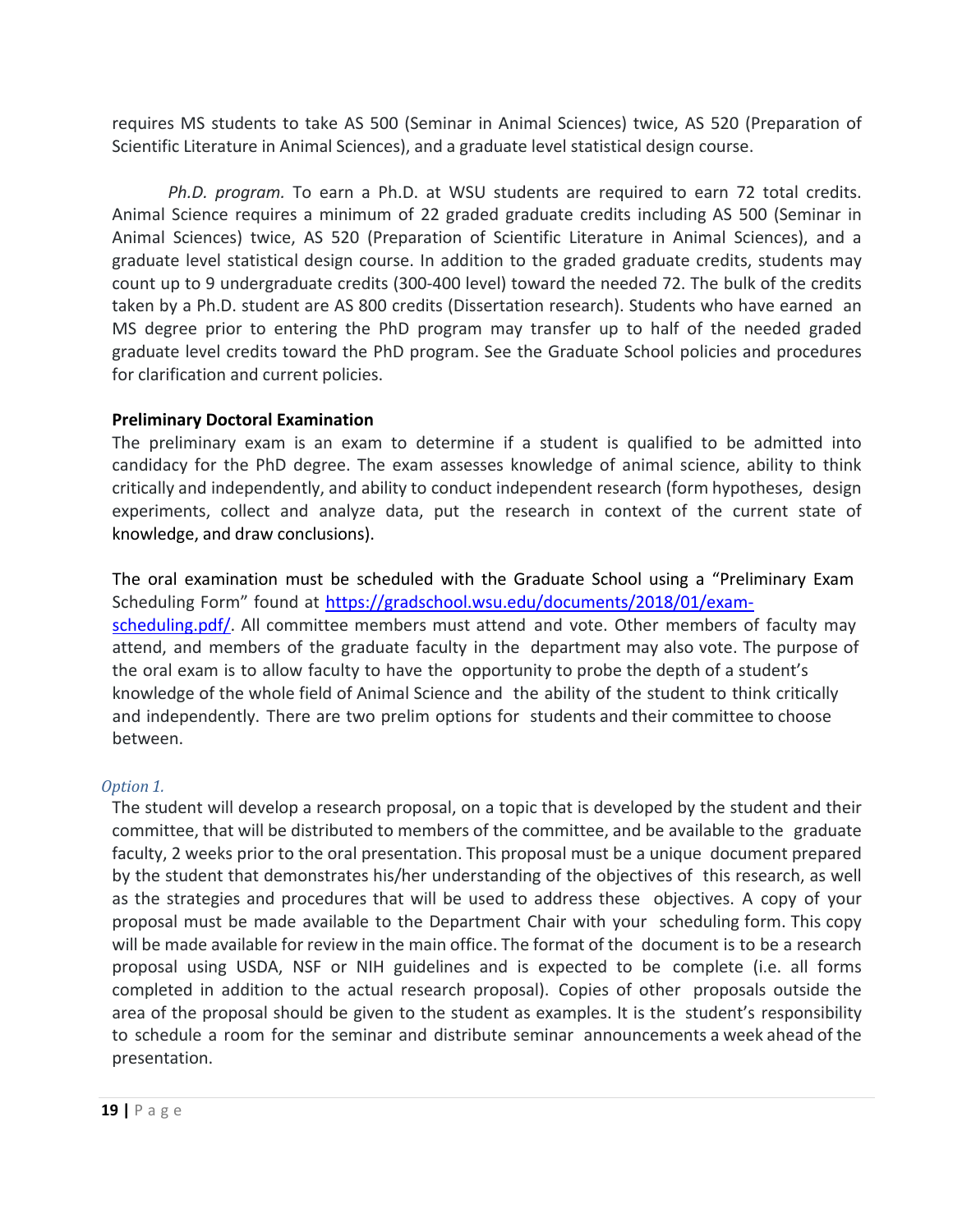requires MS students to take AS 500 (Seminar in Animal Sciences) twice, AS 520 (Preparation of Scientific Literature in Animal Sciences), and a graduate level statistical design course.

*Ph.D. program.* To earn a Ph.D. at WSU students are required to earn 72 total credits. Animal Science requires a minimum of 22 graded graduate credits including AS 500 (Seminar in Animal Sciences) twice, AS 520 (Preparation of Scientific Literature in Animal Sciences), and a graduate level statistical design course. In addition to the graded graduate credits, students may count up to 9 undergraduate credits (300‐400 level) toward the needed 72. The bulk of the credits taken by a Ph.D. student are AS 800 credits (Dissertation research). Students who have earned an MS degree prior to entering the PhD program may transfer up to half of the needed graded graduate level credits toward the PhD program. See the Graduate School policies and procedures for clarification and current policies.

#### **Preliminary Doctoral Examination**

The preliminary exam is an exam to determine if a student is qualified to be admitted into candidacy for the PhD degree. The exam assesses knowledge of animal science, ability to think critically and independently, and ability to conduct independent research (form hypotheses, design experiments, collect and analyze data, put the research in context of the current state of knowledge, and draw conclusions).

The oral examination must be scheduled with the Graduate School using a "Preliminary Exam Scheduling Form" found at https://gradschool.wsu.edu/documents/2018/01/exam‐ scheduling.pdf/. All committee members must attend and vote. Other members of faculty may attend, and members of the graduate faculty in the department may also vote. The purpose of the oral exam is to allow faculty to have the opportunity to probe the depth of a student's knowledge of the whole field of Animal Science and the ability of the student to think critically and independently. There are two prelim options for students and their committee to choose between.

#### *Option 1.*

The student will develop a research proposal, on a topic that is developed by the student and their committee, that will be distributed to members of the committee, and be available to the graduate faculty, 2 weeks prior to the oral presentation. This proposal must be a unique document prepared by the student that demonstrates his/her understanding of the objectives of this research, as well as the strategies and procedures that will be used to address these objectives. A copy of your proposal must be made available to the Department Chair with your scheduling form. This copy will be made available for review in the main office. The format of the document is to be a research proposal using USDA, NSF or NIH guidelines and is expected to be complete (i.e. all forms completed in addition to the actual research proposal). Copies of other proposals outside the area of the proposal should be given to the student as examples. It is the student's responsibility to schedule a room for the seminar and distribute seminar announcements a week ahead of the presentation.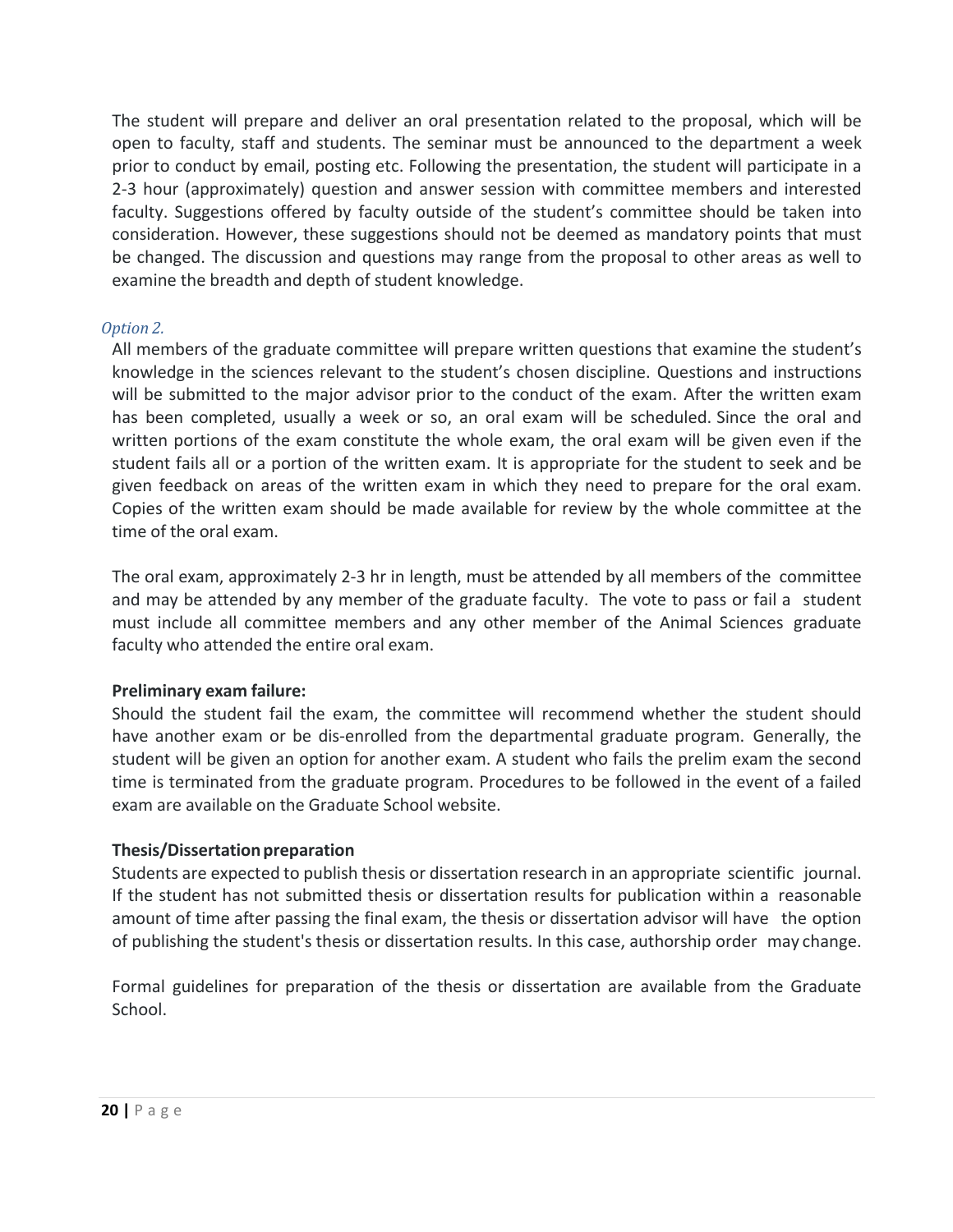The student will prepare and deliver an oral presentation related to the proposal, which will be open to faculty, staff and students. The seminar must be announced to the department a week prior to conduct by email, posting etc. Following the presentation, the student will participate in a 2‐3 hour (approximately) question and answer session with committee members and interested faculty. Suggestions offered by faculty outside of the student's committee should be taken into consideration. However, these suggestions should not be deemed as mandatory points that must be changed. The discussion and questions may range from the proposal to other areas as well to examine the breadth and depth of student knowledge.

#### *Option 2.*

All members of the graduate committee will prepare written questions that examine the student's knowledge in the sciences relevant to the student's chosen discipline. Questions and instructions will be submitted to the major advisor prior to the conduct of the exam. After the written exam has been completed, usually a week or so, an oral exam will be scheduled. Since the oral and written portions of the exam constitute the whole exam, the oral exam will be given even if the student fails all or a portion of the written exam. It is appropriate for the student to seek and be given feedback on areas of the written exam in which they need to prepare for the oral exam. Copies of the written exam should be made available for review by the whole committee at the time of the oral exam.

The oral exam, approximately 2‐3 hr in length, must be attended by all members of the committee and may be attended by any member of the graduate faculty. The vote to pass or fail a student must include all committee members and any other member of the Animal Sciences graduate faculty who attended the entire oral exam.

#### **Preliminary exam failure:**

Should the student fail the exam, the committee will recommend whether the student should have another exam or be dis-enrolled from the departmental graduate program. Generally, the student will be given an option for another exam. A student who fails the prelim exam the second time is terminated from the graduate program. Procedures to be followed in the event of a failed exam are available on the Graduate School website.

#### **Thesis/Dissertation preparation**

Students are expected to publish thesis or dissertation research in an appropriate scientific journal. If the student has not submitted thesis or dissertation results for publication within a reasonable amount of time after passing the final exam, the thesis or dissertation advisor will have the option of publishing the student's thesis or dissertation results. In this case, authorship order may change.

Formal guidelines for preparation of the thesis or dissertation are available from the Graduate School.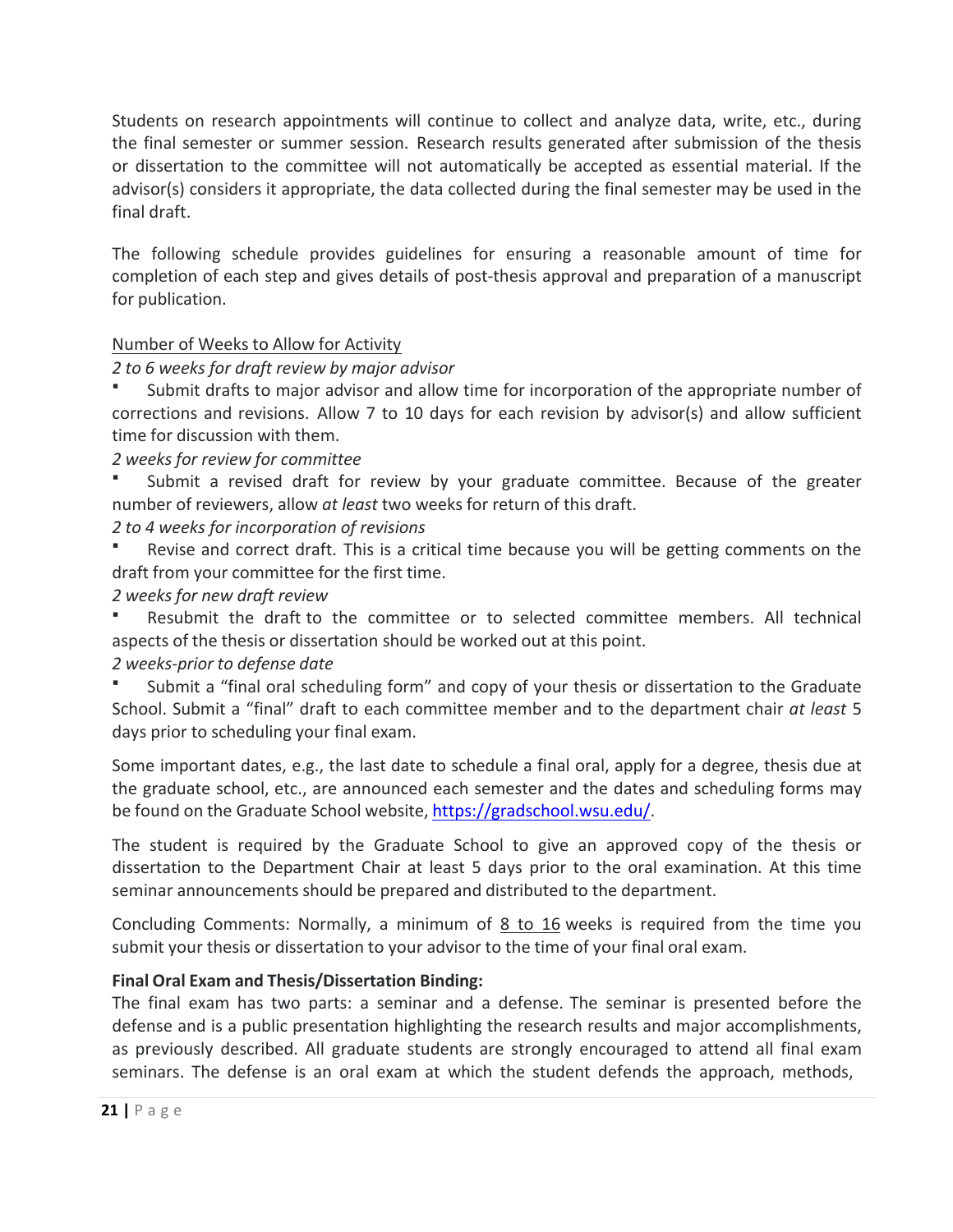Students on research appointments will continue to collect and analyze data, write, etc., during the final semester or summer session. Research results generated after submission of the thesis or dissertation to the committee will not automatically be accepted as essential material. If the advisor(s) considers it appropriate, the data collected during the final semester may be used in the final draft.

The following schedule provides guidelines for ensuring a reasonable amount of time for completion of each step and gives details of post-thesis approval and preparation of a manuscript for publication.

#### Number of Weeks to Allow for Activity

#### *2 to 6 weeks for draft review by major advisor*

 Submit drafts to major advisor and allow time for incorporation of the appropriate number of corrections and revisions. Allow 7 to 10 days for each revision by advisor(s) and allow sufficient time for discussion with them.

*2 weeks for review for committee*

 Submit a revised draft for review by your graduate committee. Because of the greater number of reviewers, allow *at least* two weeks for return of this draft.

*2 to 4 weeks for incorporation of revisions*

 Revise and correct draft. This is a critical time because you will be getting comments on the draft from your committee for the first time.

# *2 weeks for new draft review*

 Resubmit the draft to the committee or to selected committee members. All technical aspects of the thesis or dissertation should be worked out at this point.

#### *2 weeks‐prior to defense date*

 Submit a "final oral scheduling form" and copy of your thesis or dissertation to the Graduate School. Submit a "final" draft to each committee member and to the department chair *at least* 5 days prior to scheduling your final exam.

Some important dates, e.g., the last date to schedule a final oral, apply for a degree, thesis due at the graduate school, etc., are announced each semester and the dates and scheduling forms may be found on the Graduate School website, https://gradschool.wsu.edu/.

The student is required by the Graduate School to give an approved copy of the thesis or dissertation to the Department Chair at least 5 days prior to the oral examination. At this time seminar announcements should be prepared and distributed to the department.

Concluding Comments: Normally, a minimum of 8 to 16 weeks is required from the time you submit your thesis or dissertation to your advisor to the time of your final oral exam.

# **Final Oral Exam and Thesis/Dissertation Binding:**

The final exam has two parts: a seminar and a defense. The seminar is presented before the defense and is a public presentation highlighting the research results and major accomplishments, as previously described. All graduate students are strongly encouraged to attend all final exam seminars. The defense is an oral exam at which the student defends the approach, methods,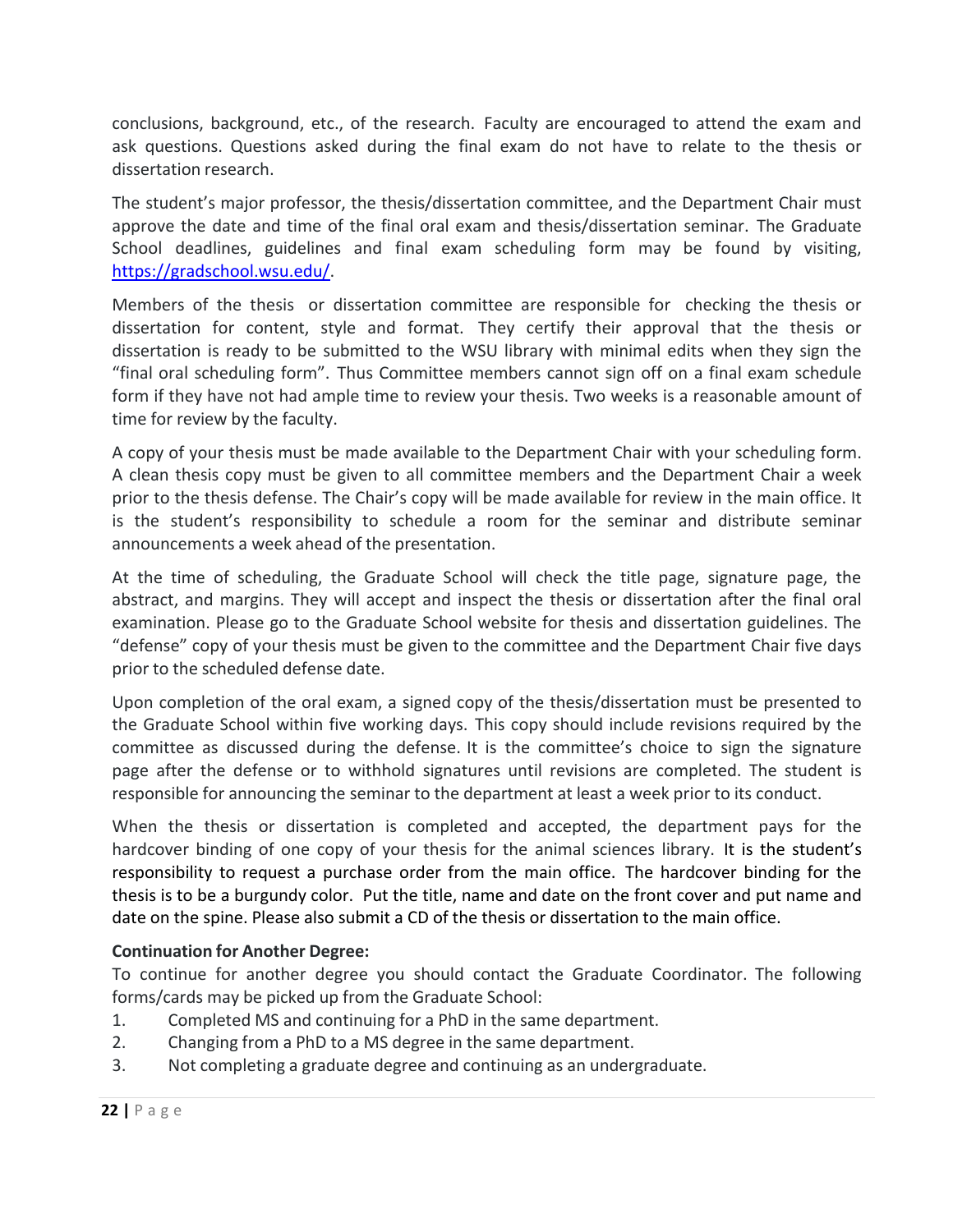conclusions, background, etc., of the research. Faculty are encouraged to attend the exam and ask questions. Questions asked during the final exam do not have to relate to the thesis or dissertation research.

The student's major professor, the thesis/dissertation committee, and the Department Chair must approve the date and time of the final oral exam and thesis/dissertation seminar. The Graduate School deadlines, guidelines and final exam scheduling form may be found by visiting, https://gradschool.wsu.edu/.

Members of the thesis or dissertation committee are responsible for checking the thesis or dissertation for content, style and format. They certify their approval that the thesis or dissertation is ready to be submitted to the WSU library with minimal edits when they sign the "final oral scheduling form". Thus Committee members cannot sign off on a final exam schedule form if they have not had ample time to review your thesis. Two weeks is a reasonable amount of time for review by the faculty.

A copy of your thesis must be made available to the Department Chair with your scheduling form. A clean thesis copy must be given to all committee members and the Department Chair a week prior to the thesis defense. The Chair's copy will be made available for review in the main office. It is the student's responsibility to schedule a room for the seminar and distribute seminar announcements a week ahead of the presentation.

At the time of scheduling, the Graduate School will check the title page, signature page, the abstract, and margins. They will accept and inspect the thesis or dissertation after the final oral examination. Please go to the Graduate School website for thesis and dissertation guidelines. The "defense" copy of your thesis must be given to the committee and the Department Chair five days prior to the scheduled defense date.

Upon completion of the oral exam, a signed copy of the thesis/dissertation must be presented to the Graduate School within five working days. This copy should include revisions required by the committee as discussed during the defense. It is the committee's choice to sign the signature page after the defense or to withhold signatures until revisions are completed. The student is responsible for announcing the seminar to the department at least a week prior to its conduct.

When the thesis or dissertation is completed and accepted, the department pays for the hardcover binding of one copy of your thesis for the animal sciences library. It is the student's responsibility to request a purchase order from the main office. The hardcover binding for the thesis is to be a burgundy color. Put the title, name and date on the front cover and put name and date on the spine. Please also submit a CD of the thesis or dissertation to the main office.

#### **Continuation for Another Degree:**

To continue for another degree you should contact the Graduate Coordinator. The following forms/cards may be picked up from the Graduate School:

- 1. Completed MS and continuing for a PhD in the same department.
- 2. Changing from a PhD to a MS degree in the same department.
- 3. Not completing a graduate degree and continuing as an undergraduate.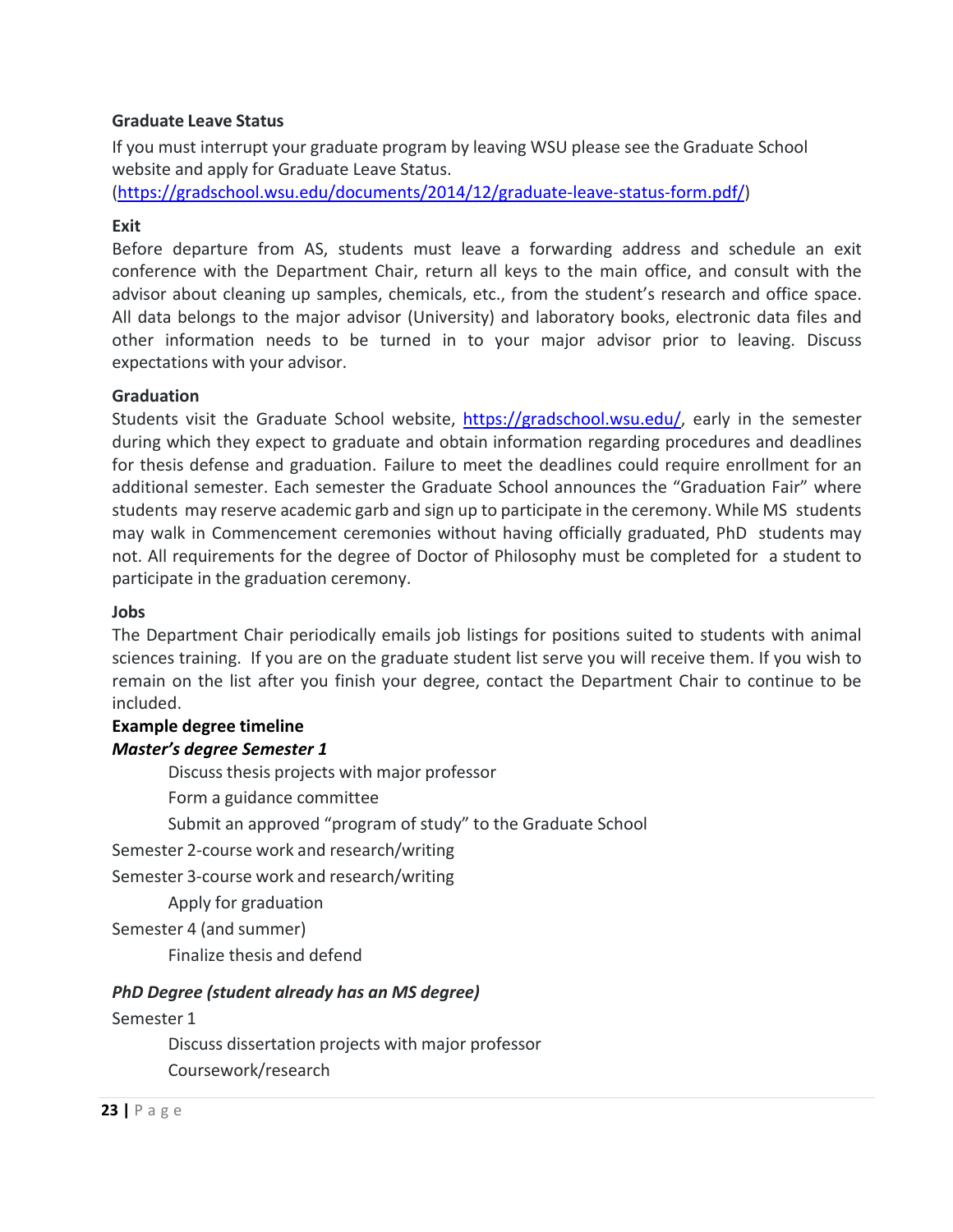#### **Graduate Leave Status**

If you must interrupt your graduate program by leaving WSU please see the Graduate School website and apply for Graduate Leave Status.

(https://gradschool.wsu.edu/documents/2014/12/graduate‐leave‐status‐form.pdf/)

#### **Exit**

Before departure from AS, students must leave a forwarding address and schedule an exit conference with the Department Chair, return all keys to the main office, and consult with the advisor about cleaning up samples, chemicals, etc., from the student's research and office space. All data belongs to the major advisor (University) and laboratory books, electronic data files and other information needs to be turned in to your major advisor prior to leaving. Discuss expectations with your advisor.

#### **Graduation**

Students visit the Graduate School website, https://gradschool.wsu.edu/, early in the semester during which they expect to graduate and obtain information regarding procedures and deadlines for thesis defense and graduation. Failure to meet the deadlines could require enrollment for an additional semester. Each semester the Graduate School announces the "Graduation Fair" where students may reserve academic garb and sign up to participate in the ceremony. While MS students may walk in Commencement ceremonies without having officially graduated, PhD students may not. All requirements for the degree of Doctor of Philosophy must be completed for a student to participate in the graduation ceremony.

#### **Jobs**

The Department Chair periodically emails job listings for positions suited to students with animal sciences training. If you are on the graduate student list serve you will receive them. If you wish to remain on the list after you finish your degree, contact the Department Chair to continue to be included.

#### **Example degree timeline**  *Master's degree Semester 1*

Discuss thesis projects with major professor

Form a guidance committee

Submit an approved "program of study" to the Graduate School

Semester 2‐course work and research/writing

Semester 3‐course work and research/writing

Apply for graduation

Semester 4 (and summer)

Finalize thesis and defend

#### *PhD Degree (student already has an MS degree)*

#### Semester 1

Discuss dissertation projects with major professor Coursework/research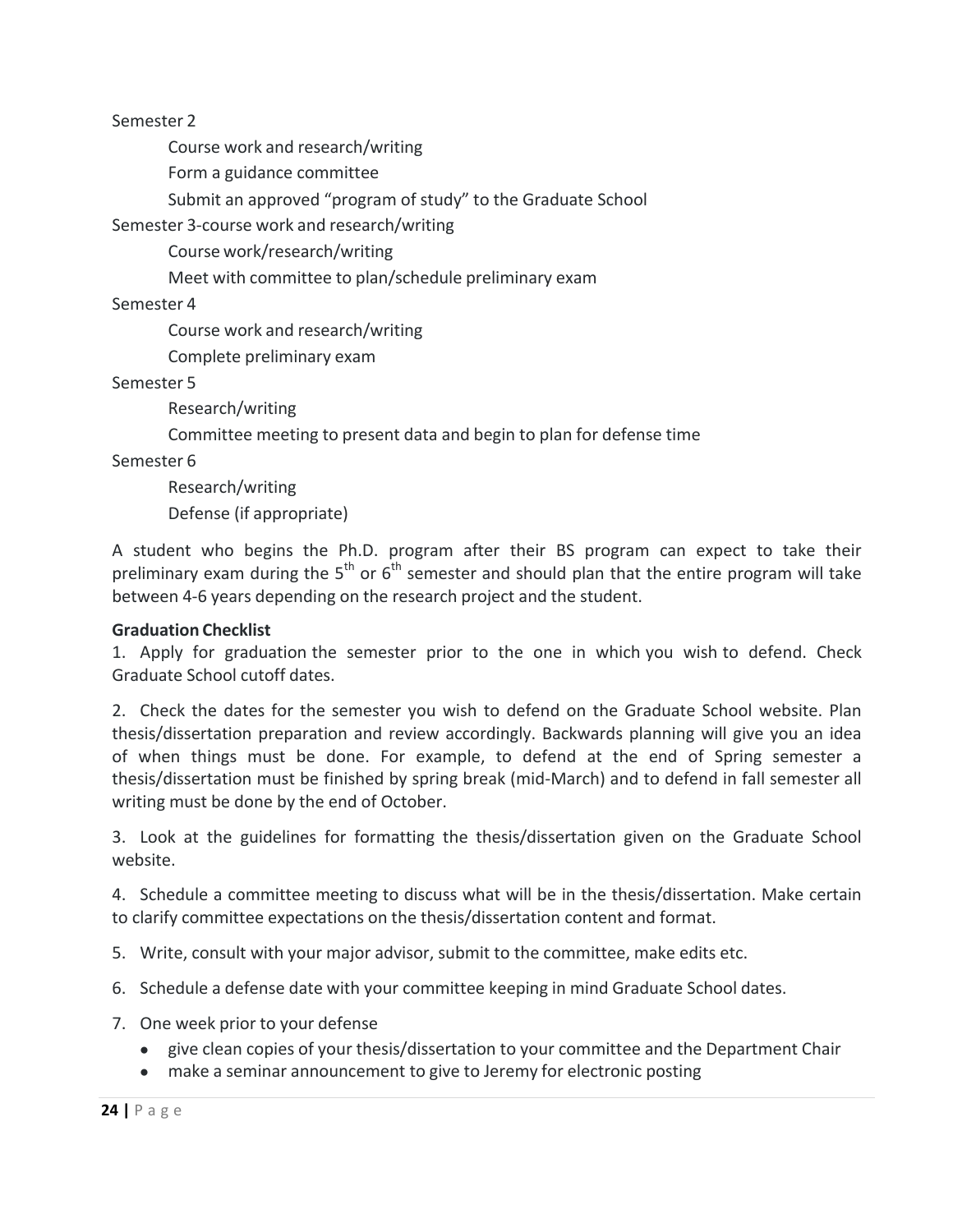Semester 2

Course work and research/writing

Form a guidance committee

Submit an approved "program of study" to the Graduate School

Semester 3‐course work and research/writing

Course work/research/writing

Meet with committee to plan/schedule preliminary exam

Semester 4

Course work and research/writing

Complete preliminary exam

Semester 5

Research/writing

Committee meeting to present data and begin to plan for defense time

Semester 6

Research/writing Defense (if appropriate)

A student who begins the Ph.D. program after their BS program can expect to take their preliminary exam during the  $5<sup>th</sup>$  or  $6<sup>th</sup>$  semester and should plan that the entire program will take between 4‐6 years depending on the research project and the student.

#### **Graduation Checklist**

1. Apply for graduation the semester prior to the one in which you wish to defend. Check Graduate School cutoff dates.

2. Check the dates for the semester you wish to defend on the Graduate School website. Plan thesis/dissertation preparation and review accordingly. Backwards planning will give you an idea of when things must be done. For example, to defend at the end of Spring semester a thesis/dissertation must be finished by spring break (mid‐March) and to defend in fall semester all writing must be done by the end of October.

3. Look at the guidelines for formatting the thesis/dissertation given on the Graduate School website.

4. Schedule a committee meeting to discuss what will be in the thesis/dissertation. Make certain to clarify committee expectations on the thesis/dissertation content and format.

5. Write, consult with your major advisor, submit to the committee, make edits etc.

6. Schedule a defense date with your committee keeping in mind Graduate School dates.

- 7. One week prior to your defense
	- give clean copies of your thesis/dissertation to your committee and the Department Chair
	- make a seminar announcement to give to Jeremy for electronic posting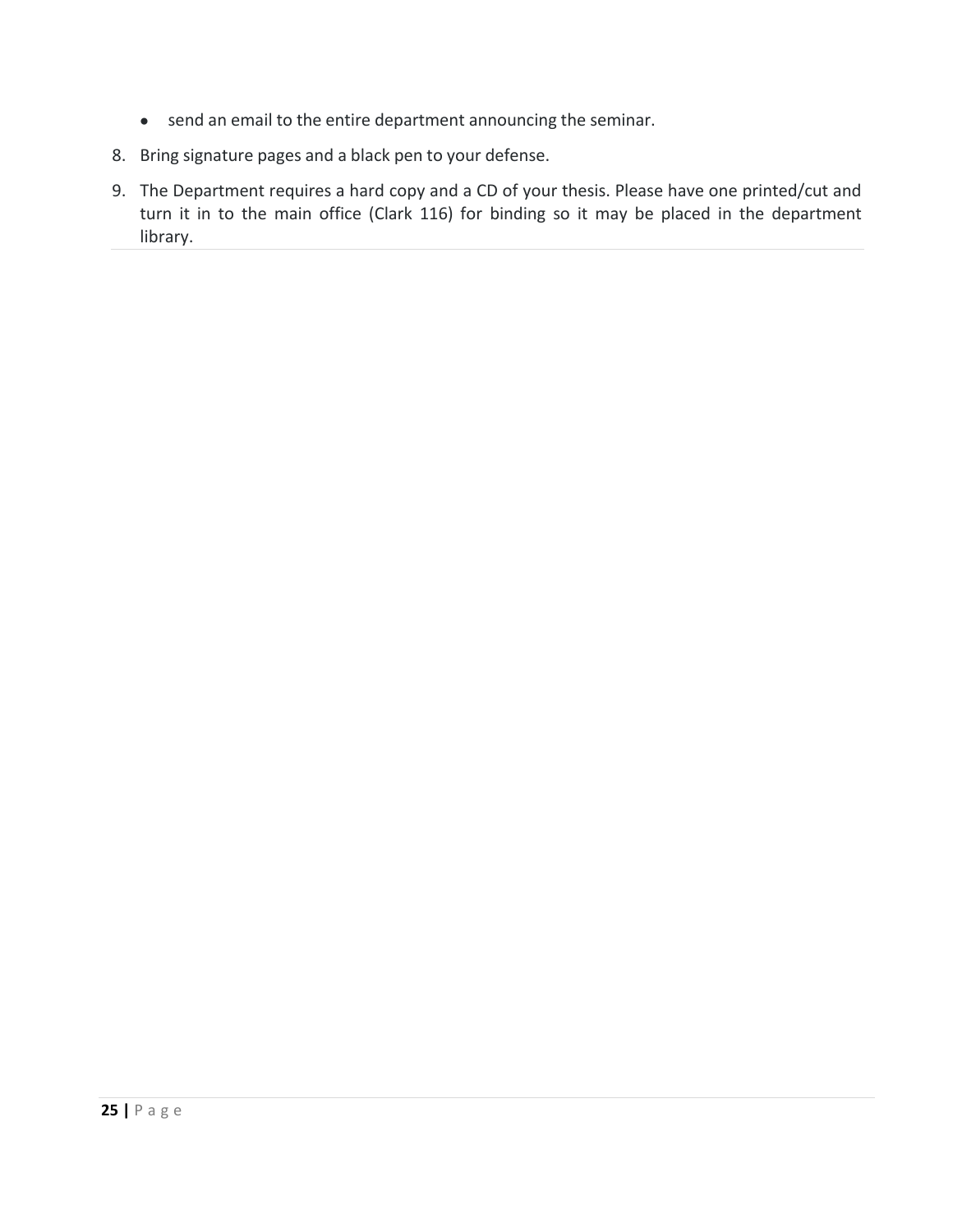- send an email to the entire department announcing the seminar.
- 8. Bring signature pages and a black pen to your defense.
- 9. The Department requires a hard copy and a CD of your thesis. Please have one printed/cut and turn it in to the main office (Clark 116) for binding so it may be placed in the department library.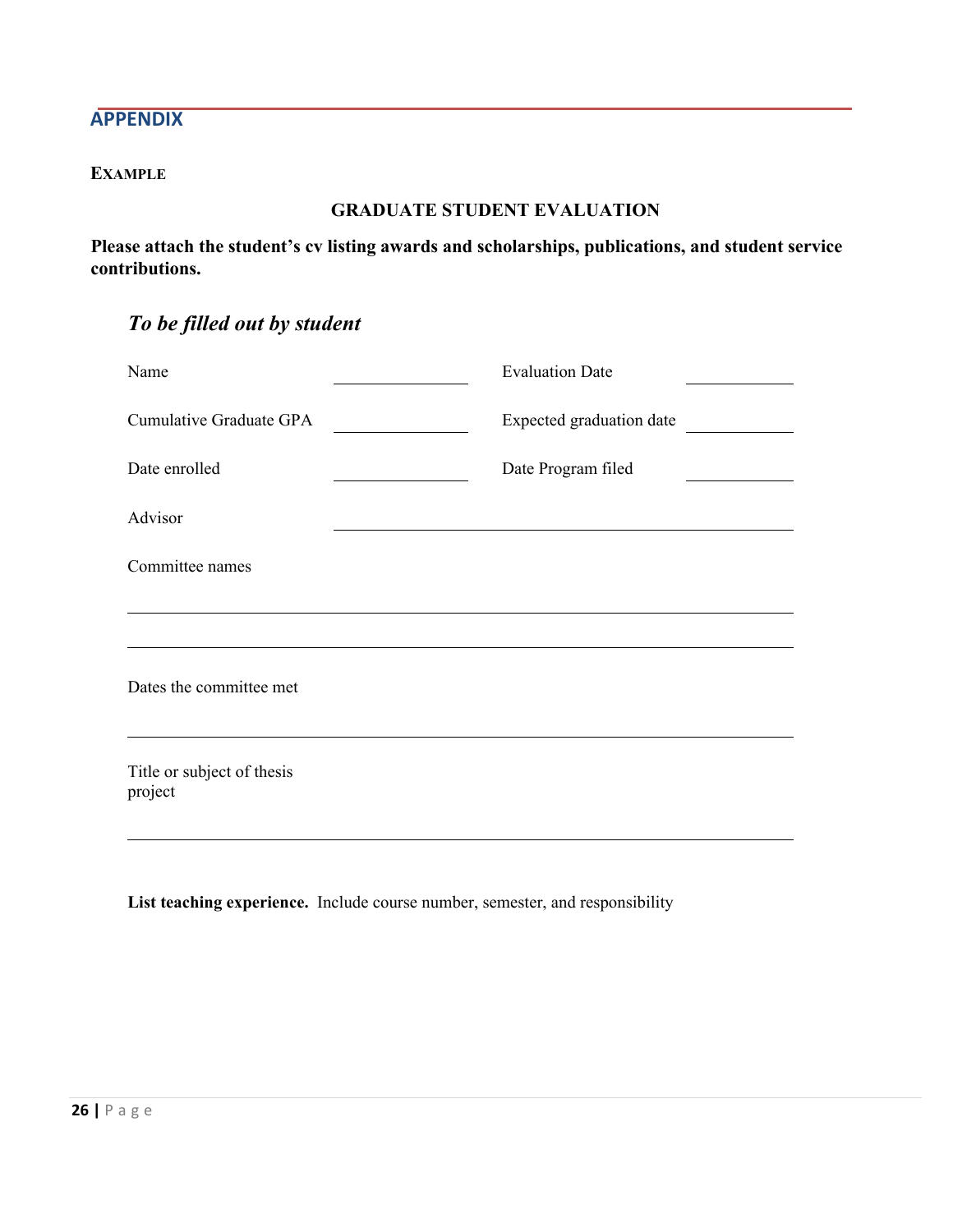# **APPENDIX**

# **EXAMPLE**

#### **GRADUATE STUDENT EVALUATION**

**Please attach the student's cv listing awards and scholarships, publications, and student service contributions.**

| To be filled out by student |  |
|-----------------------------|--|
|-----------------------------|--|

| Name                                  | <b>Evaluation Date</b>   |  |
|---------------------------------------|--------------------------|--|
| Cumulative Graduate GPA               | Expected graduation date |  |
| Date enrolled                         | Date Program filed       |  |
| Advisor                               |                          |  |
| Committee names                       |                          |  |
|                                       |                          |  |
| Dates the committee met               |                          |  |
| Title or subject of thesis<br>project |                          |  |
|                                       |                          |  |

**List teaching experience.** Include course number, semester, and responsibility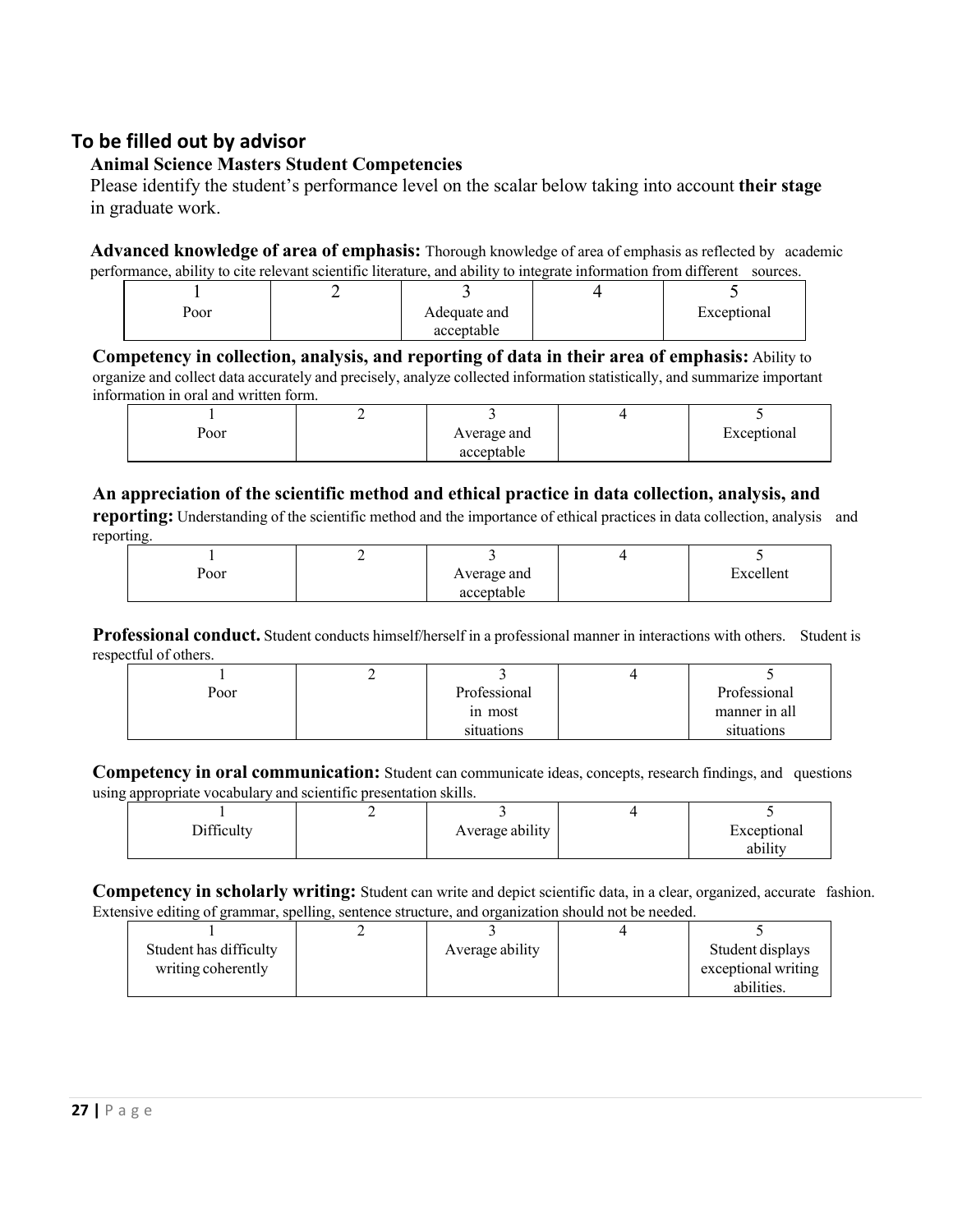# **To be filled out by advisor**

# **Animal Science Masters Student Competencies**

Please identify the student's performance level on the scalar below taking into account **their stage** in graduate work.

**Advanced knowledge of area of emphasis:** Thorough knowledge of area of emphasis as reflected by academic performance, ability to cite relevant scientific literature, and ability to integrate information from different sources.

| Poor | Adequate and | Exceptional |
|------|--------------|-------------|
|      | acceptable   |             |
|      |              |             |

**Competency in collection, analysis, and reporting of data in their area of emphasis:** Ability to organize and collect data accurately and precisely, analyze collected information statistically, and summarize important information in oral and written form.

| .                         |   |             |             |
|---------------------------|---|-------------|-------------|
|                           | - |             |             |
| $\mathbf{p}_{\text{oor}}$ |   | Average and | Exceptional |
|                           |   | acceptable  |             |

# **An appreciation of the scientific method and ethical practice in data collection, analysis, and**

**reporting:** Understanding of the scientific method and the importance of ethical practices in data collection, analysis and reporting.

| Poor | Average and | Excellent<br>- |
|------|-------------|----------------|
|      | acceptable  |                |

**Professional conduct.** Student conducts himself/herself in a professional manner in interactions with others. Student is respectful of others.

|      | ∸ |              |               |
|------|---|--------------|---------------|
| Poor |   | Professional | Professional  |
|      |   | in most      | manner in all |
|      |   | situations   | situations    |

**Competency in oral communication:** Student can communicate ideas, concepts, research findings, and questions using appropriate vocabulary and scientific presentation skills.

|            | - |                 |                             |
|------------|---|-----------------|-----------------------------|
| Difficulty |   | Average ability | Exceptional<br>.<br>ability |

**Competency in scholarly writing:** Student can write and depict scientific data, in a clear, organized, accurate fashion. Extensive editing of grammar, spelling, sentence structure, and organization should not be needed.

| Student has difficulty | Average ability | Student displays    |
|------------------------|-----------------|---------------------|
| writing coherently     |                 | exceptional writing |
|                        |                 | abilities.          |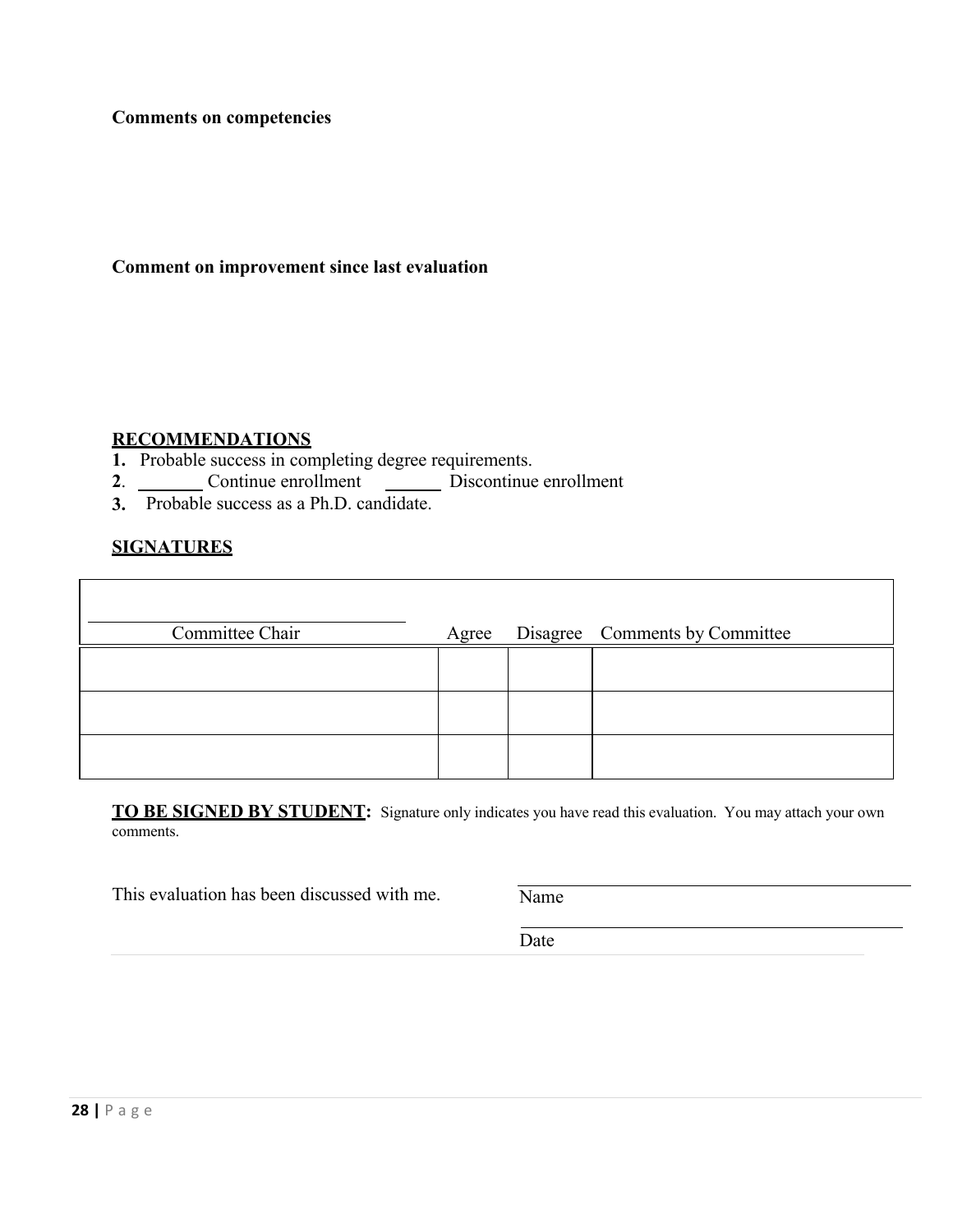**Comments on competencies** 

#### **Comment on improvement since last evaluation**

# **RECOMMENDATIONS**

- **1.** Probable success in completing degree requirements.
- 2. Continue enrollment Discontinue enrollment
- **3.** Probable success as a Ph.D. candidate.

#### **SIGNATURES**

| Committee Chair | Agree | Disagree Comments by Committee |
|-----------------|-------|--------------------------------|
|                 |       |                                |
|                 |       |                                |
|                 |       |                                |

**TO BE SIGNED BY STUDENT:** Signature only indicates you have read this evaluation. You may attach your own comments.

This evaluation has been discussed with me.  $\overline{\text{Name}}$ 

Date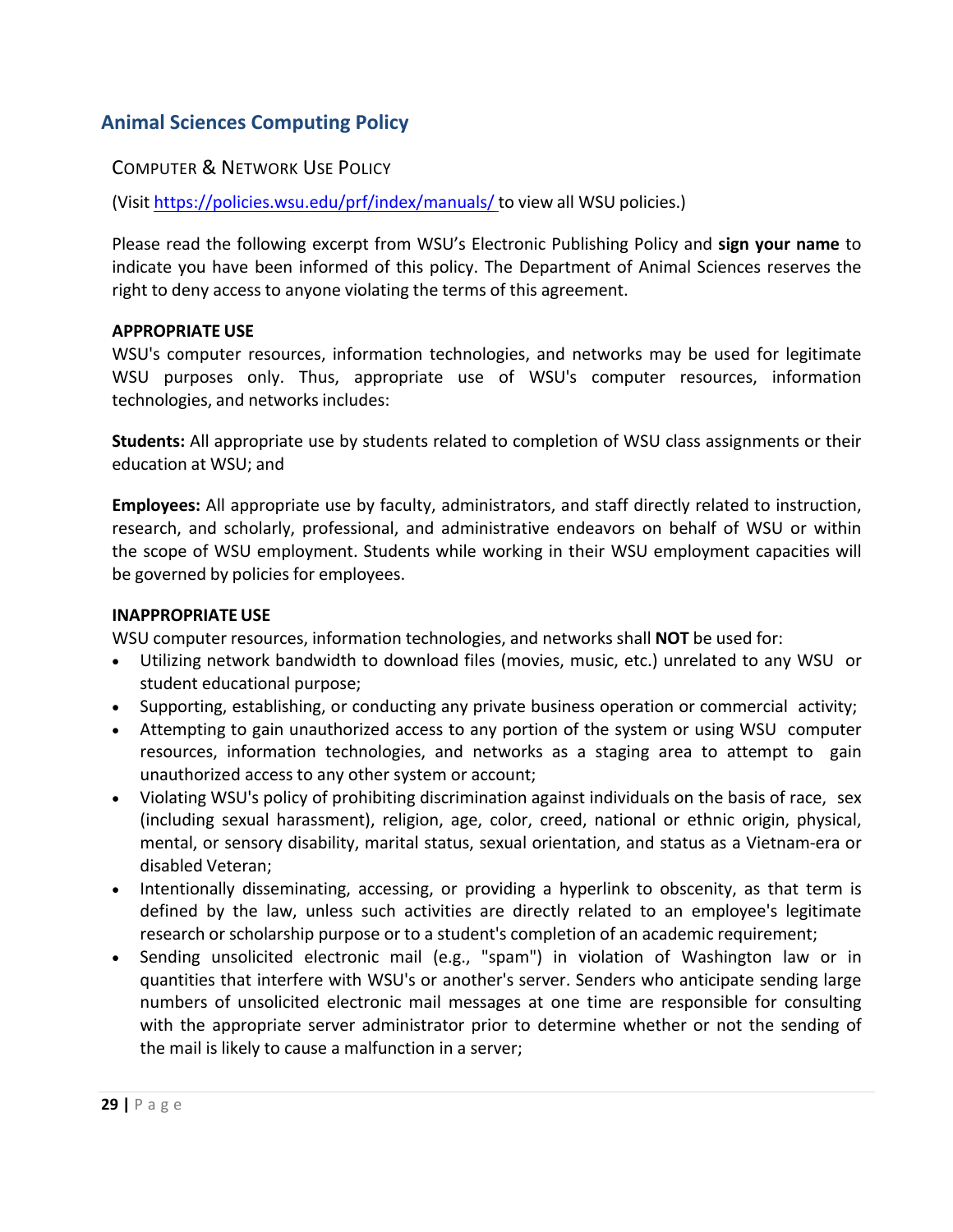# **Animal Sciences Computing Policy**

# COMPUTER & NETWORK USE POLICY

(Visit https://policies.wsu.edu/prf/index/manuals/ to view all WSU policies.)

Please read the following excerpt from WSU's Electronic Publishing Policy and **sign your name** to indicate you have been informed of this policy. The Department of Animal Sciences reserves the right to deny access to anyone violating the terms of this agreement.

#### **APPROPRIATE USE**

WSU's computer resources, information technologies, and networks may be used for legitimate WSU purposes only. Thus, appropriate use of WSU's computer resources, information technologies, and networks includes:

**Students:** All appropriate use by students related to completion of WSU class assignments or their education at WSU; and

**Employees:** All appropriate use by faculty, administrators, and staff directly related to instruction, research, and scholarly, professional, and administrative endeavors on behalf of WSU or within the scope of WSU employment. Students while working in their WSU employment capacities will be governed by policies for employees.

#### **INAPPROPRIATE USE**

WSU computer resources, information technologies, and networks shall **NOT** be used for:

- Utilizing network bandwidth to download files (movies, music, etc.) unrelated to any WSU or student educational purpose;
- Supporting, establishing, or conducting any private business operation or commercial activity;
- Attempting to gain unauthorized access to any portion of the system or using WSU computer resources, information technologies, and networks as a staging area to attempt to gain unauthorized access to any other system or account;
- Violating WSU's policy of prohibiting discrimination against individuals on the basis of race, sex (including sexual harassment), religion, age, color, creed, national or ethnic origin, physical, mental, or sensory disability, marital status, sexual orientation, and status as a Vietnam‐era or disabled Veteran;
- Intentionally disseminating, accessing, or providing a hyperlink to obscenity, as that term is defined by the law, unless such activities are directly related to an employee's legitimate research or scholarship purpose or to a student's completion of an academic requirement;
- Sending unsolicited electronic mail (e.g., "spam") in violation of Washington law or in quantities that interfere with WSU's or another's server. Senders who anticipate sending large numbers of unsolicited electronic mail messages at one time are responsible for consulting with the appropriate server administrator prior to determine whether or not the sending of the mail is likely to cause a malfunction in a server;